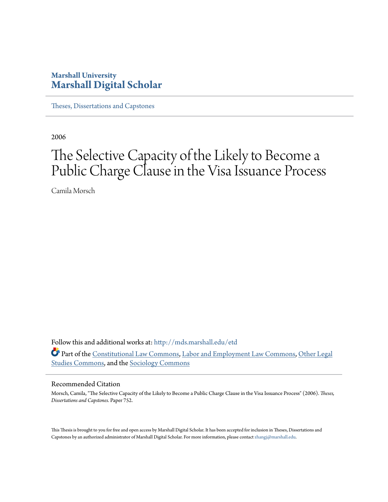# **Marshall University [Marshall Digital Scholar](http://mds.marshall.edu?utm_source=mds.marshall.edu%2Fetd%2F752&utm_medium=PDF&utm_campaign=PDFCoverPages)**

[Theses, Dissertations and Capstones](http://mds.marshall.edu/etd?utm_source=mds.marshall.edu%2Fetd%2F752&utm_medium=PDF&utm_campaign=PDFCoverPages)

2006

# The Selective Capacity of the Likely to Become a Public Charge Clause in the Visa Issuance Process

Camila Morsch

Follow this and additional works at: [http://mds.marshall.edu/etd](http://mds.marshall.edu/etd?utm_source=mds.marshall.edu%2Fetd%2F752&utm_medium=PDF&utm_campaign=PDFCoverPages) Part of the [Constitutional Law Commons,](http://network.bepress.com/hgg/discipline/589?utm_source=mds.marshall.edu%2Fetd%2F752&utm_medium=PDF&utm_campaign=PDFCoverPages) [Labor and Employment Law Commons](http://network.bepress.com/hgg/discipline/909?utm_source=mds.marshall.edu%2Fetd%2F752&utm_medium=PDF&utm_campaign=PDFCoverPages), [Other Legal](http://network.bepress.com/hgg/discipline/370?utm_source=mds.marshall.edu%2Fetd%2F752&utm_medium=PDF&utm_campaign=PDFCoverPages) [Studies Commons](http://network.bepress.com/hgg/discipline/370?utm_source=mds.marshall.edu%2Fetd%2F752&utm_medium=PDF&utm_campaign=PDFCoverPages), and the [Sociology Commons](http://network.bepress.com/hgg/discipline/416?utm_source=mds.marshall.edu%2Fetd%2F752&utm_medium=PDF&utm_campaign=PDFCoverPages)

#### Recommended Citation

Morsch, Camila, "The Selective Capacity of the Likely to Become a Public Charge Clause in the Visa Issuance Process" (2006). *Theses, Dissertations and Capstones.* Paper 752.

This Thesis is brought to you for free and open access by Marshall Digital Scholar. It has been accepted for inclusion in Theses, Dissertations and Capstones by an authorized administrator of Marshall Digital Scholar. For more information, please contact [zhangj@marshall.edu.](mailto:zhangj@marshall.edu)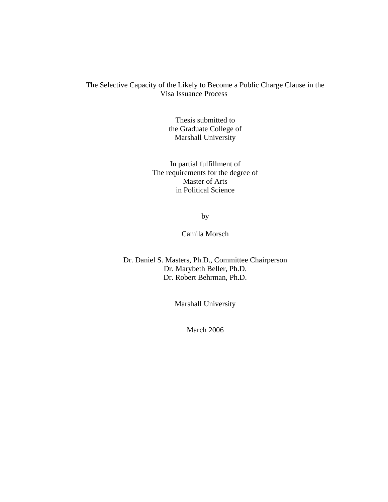### The Selective Capacity of the Likely to Become a Public Charge Clause in the Visa Issuance Process

Thesis submitted to the Graduate College of Marshall University

In partial fulfillment of The requirements for the degree of Master of Arts in Political Science

by

Camila Morsch

Dr. Daniel S. Masters, Ph.D., Committee Chairperson Dr. Marybeth Beller, Ph.D. Dr. Robert Behrman, Ph.D.

Marshall University

March 2006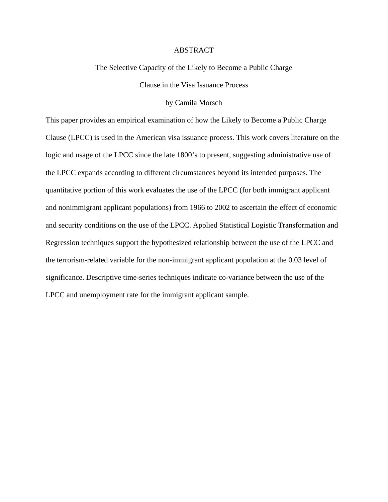#### ABSTRACT

The Selective Capacity of the Likely to Become a Public Charge

Clause in the Visa Issuance Process

by Camila Morsch

This paper provides an empirical examination of how the Likely to Become a Public Charge Clause (LPCC) is used in the American visa issuance process. This work covers literature on the logic and usage of the LPCC since the late 1800's to present, suggesting administrative use of the LPCC expands according to different circumstances beyond its intended purposes. The quantitative portion of this work evaluates the use of the LPCC (for both immigrant applicant and nonimmigrant applicant populations) from 1966 to 2002 to ascertain the effect of economic and security conditions on the use of the LPCC. Applied Statistical Logistic Transformation and Regression techniques support the hypothesized relationship between the use of the LPCC and the terrorism-related variable for the non-immigrant applicant population at the 0.03 level of significance. Descriptive time-series techniques indicate co-variance between the use of the LPCC and unemployment rate for the immigrant applicant sample.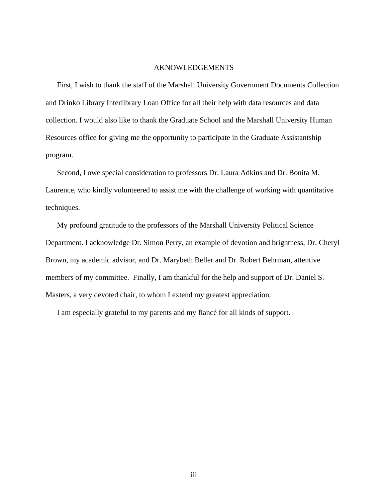#### AKNOWLEDGEMENTS

First, I wish to thank the staff of the Marshall University Government Documents Collection and Drinko Library Interlibrary Loan Office for all their help with data resources and data collection. I would also like to thank the Graduate School and the Marshall University Human Resources office for giving me the opportunity to participate in the Graduate Assistantship program.

Second, I owe special consideration to professors Dr. Laura Adkins and Dr. Bonita M. Laurence, who kindly volunteered to assist me with the challenge of working with quantitative techniques.

My profound gratitude to the professors of the Marshall University Political Science Department. I acknowledge Dr. Simon Perry, an example of devotion and brightness, Dr. Cheryl Brown, my academic advisor, and Dr. Marybeth Beller and Dr. Robert Behrman, attentive members of my committee. Finally, I am thankful for the help and support of Dr. Daniel S. Masters, a very devoted chair, to whom I extend my greatest appreciation.

I am especially grateful to my parents and my fiancé for all kinds of support.

iii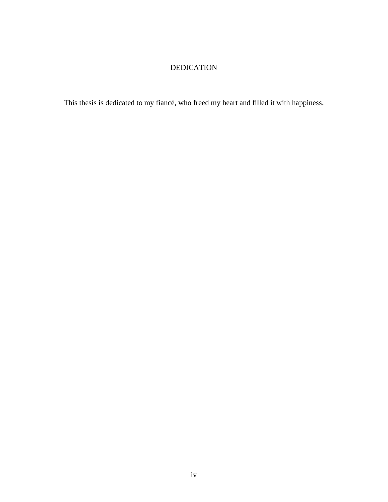# DEDICATION

This thesis is dedicated to my fiancé, who freed my heart and filled it with happiness.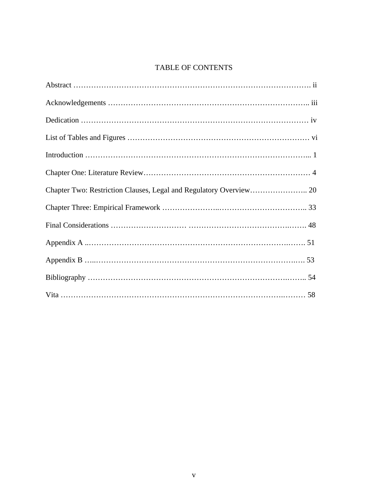# TABLE OF CONTENTS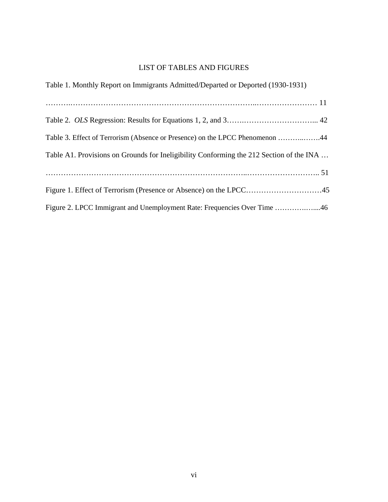# LIST OF TABLES AND FIGURES

| Table 1. Monthly Report on Immigrants Admitted/Departed or Deported (1930-1931)         |
|-----------------------------------------------------------------------------------------|
|                                                                                         |
|                                                                                         |
| Table 3. Effect of Terrorism (Absence or Presence) on the LPCC Phenomenon 44            |
| Table A1. Provisions on Grounds for Ineligibility Conforming the 212 Section of the INA |
|                                                                                         |
|                                                                                         |
| Figure 2. LPCC Immigrant and Unemployment Rate: Frequencies Over Time 46                |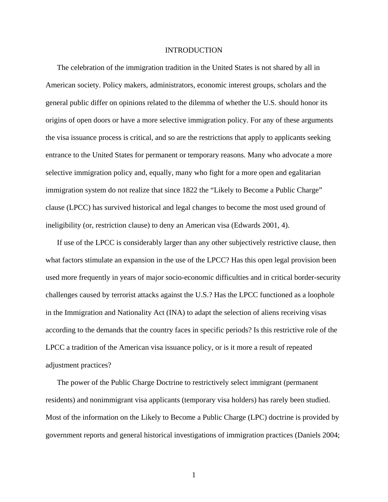#### INTRODUCTION

The celebration of the immigration tradition in the United States is not shared by all in American society. Policy makers, administrators, economic interest groups, scholars and the general public differ on opinions related to the dilemma of whether the U.S. should honor its origins of open doors or have a more selective immigration policy. For any of these arguments the visa issuance process is critical, and so are the restrictions that apply to applicants seeking entrance to the United States for permanent or temporary reasons. Many who advocate a more selective immigration policy and, equally, many who fight for a more open and egalitarian immigration system do not realize that since 1822 the "Likely to Become a Public Charge" clause (LPCC) has survived historical and legal changes to become the most used ground of ineligibility (or, restriction clause) to deny an American visa (Edwards 2001, 4).

If use of the LPCC is considerably larger than any other subjectively restrictive clause, then what factors stimulate an expansion in the use of the LPCC? Has this open legal provision been used more frequently in years of major socio-economic difficulties and in critical border-security challenges caused by terrorist attacks against the U.S.? Has the LPCC functioned as a loophole in the Immigration and Nationality Act (INA) to adapt the selection of aliens receiving visas according to the demands that the country faces in specific periods? Is this restrictive role of the LPCC a tradition of the American visa issuance policy, or is it more a result of repeated adjustment practices?

The power of the Public Charge Doctrine to restrictively select immigrant (permanent residents) and nonimmigrant visa applicants (temporary visa holders) has rarely been studied. Most of the information on the Likely to Become a Public Charge (LPC) doctrine is provided by government reports and general historical investigations of immigration practices (Daniels 2004;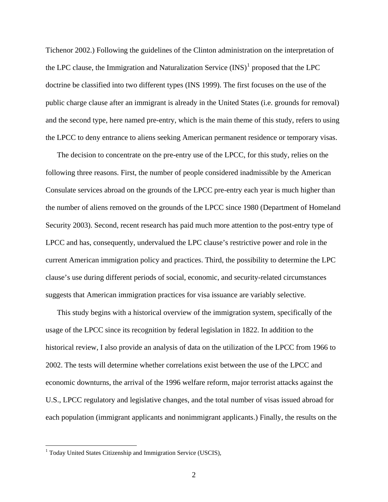Tichenor 2002.) Following the guidelines of the Clinton administration on the interpretation of the LPC clause, the Immigration and Naturalization Service  $(INS)^1$  $(INS)^1$  proposed that the LPC doctrine be classified into two different types (INS 1999). The first focuses on the use of the public charge clause after an immigrant is already in the United States (i.e. grounds for removal) and the second type, here named pre-entry, which is the main theme of this study, refers to using the LPCC to deny entrance to aliens seeking American permanent residence or temporary visas.

The decision to concentrate on the pre-entry use of the LPCC, for this study, relies on the following three reasons. First, the number of people considered inadmissible by the American Consulate services abroad on the grounds of the LPCC pre-entry each year is much higher than the number of aliens removed on the grounds of the LPCC since 1980 (Department of Homeland Security 2003). Second, recent research has paid much more attention to the post-entry type of LPCC and has, consequently, undervalued the LPC clause's restrictive power and role in the current American immigration policy and practices. Third, the possibility to determine the LPC clause's use during different periods of social, economic, and security-related circumstances suggests that American immigration practices for visa issuance are variably selective.

This study begins with a historical overview of the immigration system, specifically of the usage of the LPCC since its recognition by federal legislation in 1822. In addition to the historical review, I also provide an analysis of data on the utilization of the LPCC from 1966 to 2002. The tests will determine whether correlations exist between the use of the LPCC and economic downturns, the arrival of the 1996 welfare reform, major terrorist attacks against the U.S., LPCC regulatory and legislative changes, and the total number of visas issued abroad for each population (immigrant applicants and nonimmigrant applicants.) Finally, the results on the

<span id="page-8-0"></span><sup>&</sup>lt;sup>1</sup> Today United States Citizenship and Immigration Service (USCIS),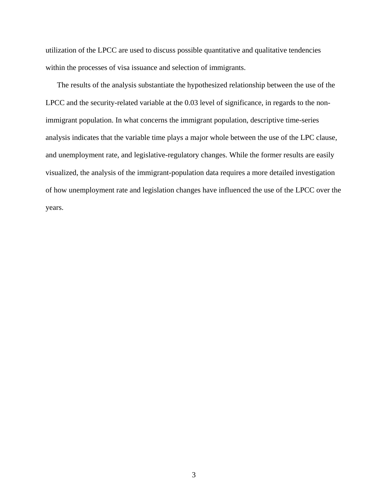utilization of the LPCC are used to discuss possible quantitative and qualitative tendencies within the processes of visa issuance and selection of immigrants.

The results of the analysis substantiate the hypothesized relationship between the use of the LPCC and the security-related variable at the 0.03 level of significance, in regards to the nonimmigrant population. In what concerns the immigrant population, descriptive time-series analysis indicates that the variable time plays a major whole between the use of the LPC clause, and unemployment rate, and legislative-regulatory changes. While the former results are easily visualized, the analysis of the immigrant-population data requires a more detailed investigation of how unemployment rate and legislation changes have influenced the use of the LPCC over the years.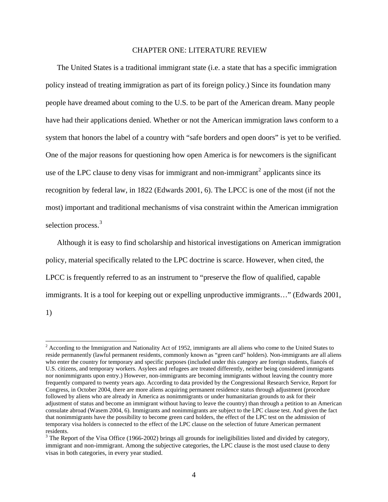#### CHAPTER ONE: LITERATURE REVIEW

The United States is a traditional immigrant state (i.e. a state that has a specific immigration policy instead of treating immigration as part of its foreign policy.) Since its foundation many people have dreamed about coming to the U.S. to be part of the American dream. Many people have had their applications denied. Whether or not the American immigration laws conform to a system that honors the label of a country with "safe borders and open doors" is yet to be verified. One of the major reasons for questioning how open America is for newcomers is the significant use of the LPC clause to deny visas for immigrant and non-immigrant<sup>[2](#page-10-0)</sup> applicants since its recognition by federal law, in 1822 (Edwards 2001, 6). The LPCC is one of the most (if not the most) important and traditional mechanisms of visa constraint within the American immigration selection process.<sup>[3](#page-10-1)</sup>

Although it is easy to find scholarship and historical investigations on American immigration policy, material specifically related to the LPC doctrine is scarce. However, when cited, the LPCC is frequently referred to as an instrument to "preserve the flow of qualified, capable immigrants. It is a tool for keeping out or expelling unproductive immigrants…" (Edwards 2001, 1)

<span id="page-10-0"></span> $2^{2}$  According to the Immigration and Nationality Act of 1952, immigrants are all aliens who come to the United States to reside permanently (lawful permanent residents, commonly known as "green card" holders). Non-immigrants are all aliens who enter the country for temporary and specific purposes (included under this category are foreign students, fiancés of U.S. citizens, and temporary workers. Asylees and refugees are treated differently, neither being considered immigrants nor nonimmigrants upon entry.) However, non-immigrants are becoming immigrants without leaving the country more frequently compared to twenty years ago. According to data provided by the Congressional Research Service, Report for Congress, in October 2004, there are more aliens acquiring permanent residence status through adjustment (procedure followed by aliens who are already in America as nonimmigrants or under humanitarian grounds to ask for their adjustment of status and become an immigrant without having to leave the country) than through a petition to an American consulate abroad (Wasem 2004, 6). Immigrants and nonimmigrants are subject to the LPC clause test. And given the fact that nonimmigrants have the possibility to become green card holders, the effect of the LPC test on the admission of temporary visa holders is connected to the effect of the LPC clause on the selection of future American permanent residents.

<span id="page-10-1"></span> $3$  The Report of the Visa Office (1966-2002) brings all grounds for ineligibilities listed and divided by category, immigrant and non-immigrant. Among the subjective categories, the LPC clause is the most used clause to deny visas in both categories, in every year studied.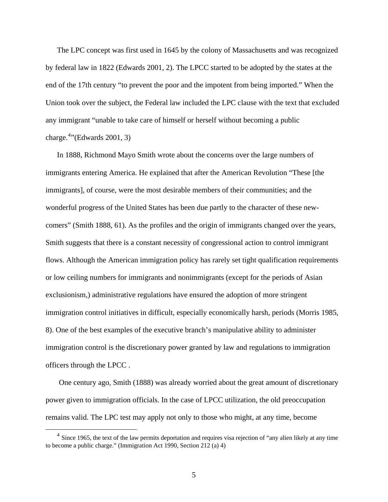The LPC concept was first used in 1645 by the colony of Massachusetts and was recognized by federal law in 1822 (Edwards 2001, 2). The LPCC started to be adopted by the states at the end of the 17th century "to prevent the poor and the impotent from being imported." When the Union took over the subject, the Federal law included the LPC clause with the text that excluded any immigrant "unable to take care of himself or herself without becoming a public charge.<sup>[4](#page-11-0)</sup>"(Edwards 2001, 3)

In 1888, Richmond Mayo Smith wrote about the concerns over the large numbers of immigrants entering America. He explained that after the American Revolution "These [the immigrants], of course, were the most desirable members of their communities; and the wonderful progress of the United States has been due partly to the character of these newcomers" (Smith 1888, 61). As the profiles and the origin of immigrants changed over the years, Smith suggests that there is a constant necessity of congressional action to control immigrant flows. Although the American immigration policy has rarely set tight qualification requirements or low ceiling numbers for immigrants and nonimmigrants (except for the periods of Asian exclusionism,) administrative regulations have ensured the adoption of more stringent immigration control initiatives in difficult, especially economically harsh, periods (Morris 1985, 8). One of the best examples of the executive branch's manipulative ability to administer immigration control is the discretionary power granted by law and regulations to immigration officers through the LPCC .

 One century ago, Smith (1888) was already worried about the great amount of discretionary power given to immigration officials. In the case of LPCC utilization, the old preoccupation remains valid. The LPC test may apply not only to those who might, at any time, become

<span id="page-11-0"></span> $4$  Since 1965, the text of the law permits deportation and requires visa rejection of "any alien likely at any time to become a public charge." (Immigration Act 1990, Section 212 (a) 4)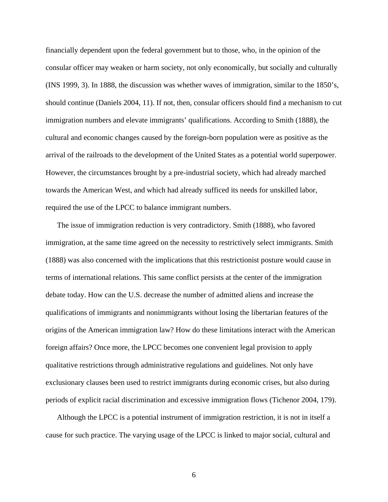financially dependent upon the federal government but to those, who, in the opinion of the consular officer may weaken or harm society, not only economically, but socially and culturally (INS 1999, 3). In 1888, the discussion was whether waves of immigration, similar to the 1850's, should continue (Daniels 2004, 11). If not, then, consular officers should find a mechanism to cut immigration numbers and elevate immigrants' qualifications. According to Smith (1888), the cultural and economic changes caused by the foreign-born population were as positive as the arrival of the railroads to the development of the United States as a potential world superpower. However, the circumstances brought by a pre-industrial society, which had already marched towards the American West, and which had already sufficed its needs for unskilled labor, required the use of the LPCC to balance immigrant numbers.

The issue of immigration reduction is very contradictory. Smith (1888), who favored immigration, at the same time agreed on the necessity to restrictively select immigrants. Smith (1888) was also concerned with the implications that this restrictionist posture would cause in terms of international relations. This same conflict persists at the center of the immigration debate today. How can the U.S. decrease the number of admitted aliens and increase the qualifications of immigrants and nonimmigrants without losing the libertarian features of the origins of the American immigration law? How do these limitations interact with the American foreign affairs? Once more, the LPCC becomes one convenient legal provision to apply qualitative restrictions through administrative regulations and guidelines. Not only have exclusionary clauses been used to restrict immigrants during economic crises, but also during periods of explicit racial discrimination and excessive immigration flows (Tichenor 2004, 179).

Although the LPCC is a potential instrument of immigration restriction, it is not in itself a cause for such practice. The varying usage of the LPCC is linked to major social, cultural and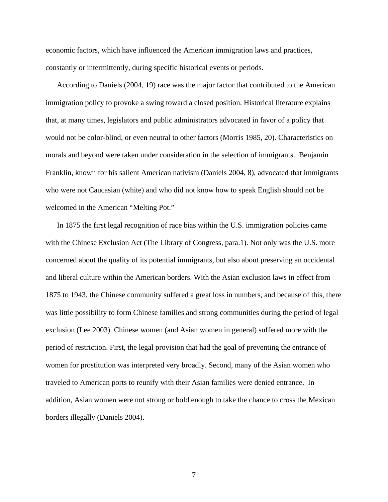economic factors, which have influenced the American immigration laws and practices, constantly or intermittently, during specific historical events or periods.

According to Daniels (2004, 19) race was the major factor that contributed to the American immigration policy to provoke a swing toward a closed position. Historical literature explains that, at many times, legislators and public administrators advocated in favor of a policy that would not be color-blind, or even neutral to other factors (Morris 1985, 20). Characteristics on morals and beyond were taken under consideration in the selection of immigrants. Benjamin Franklin, known for his salient American nativism (Daniels 2004, 8), advocated that immigrants who were not Caucasian (white) and who did not know how to speak English should not be welcomed in the American "Melting Pot."

In 1875 the first legal recognition of race bias within the U.S. immigration policies came with the Chinese Exclusion Act (The Library of Congress, para.1). Not only was the U.S. more concerned about the quality of its potential immigrants, but also about preserving an occidental and liberal culture within the American borders. With the Asian exclusion laws in effect from 1875 to 1943, the Chinese community suffered a great loss in numbers, and because of this, there was little possibility to form Chinese families and strong communities during the period of legal exclusion (Lee 2003). Chinese women (and Asian women in general) suffered more with the period of restriction. First, the legal provision that had the goal of preventing the entrance of women for prostitution was interpreted very broadly. Second, many of the Asian women who traveled to American ports to reunify with their Asian families were denied entrance. In addition, Asian women were not strong or bold enough to take the chance to cross the Mexican borders illegally (Daniels 2004).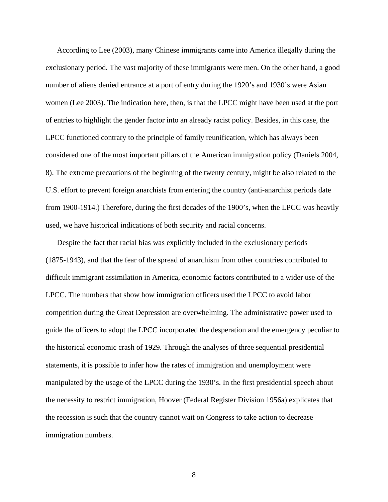According to Lee (2003), many Chinese immigrants came into America illegally during the exclusionary period. The vast majority of these immigrants were men. On the other hand, a good number of aliens denied entrance at a port of entry during the 1920's and 1930's were Asian women (Lee 2003). The indication here, then, is that the LPCC might have been used at the port of entries to highlight the gender factor into an already racist policy. Besides, in this case, the LPCC functioned contrary to the principle of family reunification, which has always been considered one of the most important pillars of the American immigration policy (Daniels 2004, 8). The extreme precautions of the beginning of the twenty century, might be also related to the U.S. effort to prevent foreign anarchists from entering the country (anti-anarchist periods date from 1900-1914.) Therefore, during the first decades of the 1900's, when the LPCC was heavily used, we have historical indications of both security and racial concerns.

Despite the fact that racial bias was explicitly included in the exclusionary periods (1875-1943), and that the fear of the spread of anarchism from other countries contributed to difficult immigrant assimilation in America, economic factors contributed to a wider use of the LPCC. The numbers that show how immigration officers used the LPCC to avoid labor competition during the Great Depression are overwhelming. The administrative power used to guide the officers to adopt the LPCC incorporated the desperation and the emergency peculiar to the historical economic crash of 1929. Through the analyses of three sequential presidential statements, it is possible to infer how the rates of immigration and unemployment were manipulated by the usage of the LPCC during the 1930's. In the first presidential speech about the necessity to restrict immigration, Hoover (Federal Register Division 1956a) explicates that the recession is such that the country cannot wait on Congress to take action to decrease immigration numbers.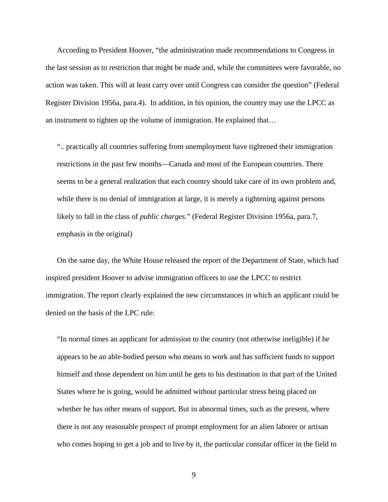According to President Hoover, "the administration made recommendations to Congress in the last session as to restriction that might be made and, while the committees were favorable, no action was taken. This will at least carry over until Congress can consider the question" (Federal Register Division 1956a, para.4). In addition, in his opinion, the country may use the LPCC as an instrument to tighten up the volume of immigration. He explained that…

".. practically all countries suffering from unemployment have tightened their immigration restrictions in the past few months—Canada and most of the European countries. There seems to be a general realization that each country should take care of its own problem and, while there is no denial of immigration at large, it is merely a tightening against persons likely to fall in the class of *public charges*." (Federal Register Division 1956a, para.7, emphasis in the original)

On the same day, the White House released the report of the Department of State, which had inspired president Hoover to advise immigration officers to use the LPCC to restrict immigration. The report clearly explained the new circumstances in which an applicant could be denied on the basis of the LPC rule:

"In normal times an applicant for admission to the country (not otherwise ineligible) if he appears to be an able-bodied person who means to work and has sufficient funds to support himself and those dependent on him until he gets to his destination in that part of the United States where he is going, would be admitted without particular stress being placed on whether he has other means of support. But in abnormal times, such as the present, where there is not any reasonable prospect of prompt employment for an alien laborer or artisan who comes hoping to get a job and to live by it, the particular consular officer in the field to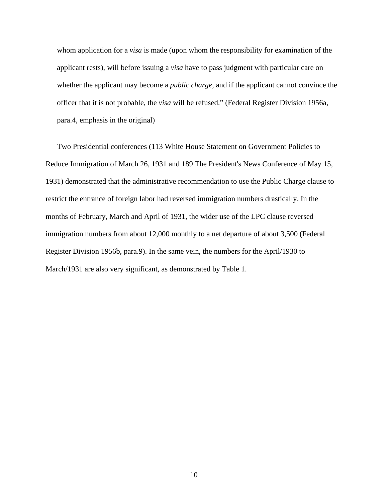whom application for a *visa* is made (upon whom the responsibility for examination of the applicant rests), will before issuing a *visa* have to pass judgment with particular care on whether the applicant may become a *public charge*, and if the applicant cannot convince the officer that it is not probable, the *visa* will be refused." (Federal Register Division 1956a, para.4, emphasis in the original)

Two Presidential conferences (113 White House Statement on Government Policies to Reduce Immigration of March 26, 1931 and 189 The President's News Conference of May 15, 1931) demonstrated that the administrative recommendation to use the Public Charge clause to restrict the entrance of foreign labor had reversed immigration numbers drastically. In the months of February, March and April of 1931, the wider use of the LPC clause reversed immigration numbers from about 12,000 monthly to a net departure of about 3,500 (Federal Register Division 1956b, para.9). In the same vein, the numbers for the April/1930 to March/1931 are also very significant, as demonstrated by Table 1.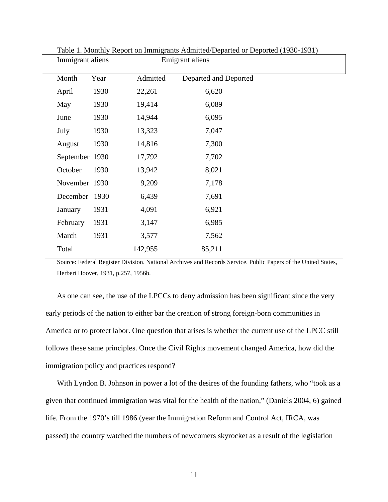| Immigrant aliens |      |          | Emigrant aliens       |  |
|------------------|------|----------|-----------------------|--|
| Month            | Year | Admitted | Departed and Deported |  |
| April            | 1930 | 22,261   | 6,620                 |  |
| May              | 1930 | 19,414   | 6,089                 |  |
| June             | 1930 | 14,944   | 6,095                 |  |
| July             | 1930 | 13,323   | 7,047                 |  |
| August           | 1930 | 14,816   | 7,300                 |  |
| September 1930   |      | 17,792   | 7,702                 |  |
| October          | 1930 | 13,942   | 8,021                 |  |
| November 1930    |      | 9,209    | 7,178                 |  |
| December         | 1930 | 6,439    | 7,691                 |  |
| January          | 1931 | 4,091    | 6,921                 |  |
| February         | 1931 | 3,147    | 6,985                 |  |
| March            | 1931 | 3,577    | 7,562                 |  |
| Total            |      | 142,955  | 85,211                |  |
|                  |      |          |                       |  |

Table 1. Monthly Report on Immigrants Admitted/Departed or Deported (1930-1931)

Source: Federal Register Division. National Archives and Records Service. Public Papers of the United States, Herbert Hoover, 1931, p.257, 1956b.

As one can see, the use of the LPCCs to deny admission has been significant since the very early periods of the nation to either bar the creation of strong foreign-born communities in America or to protect labor. One question that arises is whether the current use of the LPCC still follows these same principles. Once the Civil Rights movement changed America, how did the immigration policy and practices respond?

With Lyndon B. Johnson in power a lot of the desires of the founding fathers, who "took as a given that continued immigration was vital for the health of the nation," (Daniels 2004, 6) gained life. From the 1970's till 1986 (year the Immigration Reform and Control Act, IRCA, was passed) the country watched the numbers of newcomers skyrocket as a result of the legislation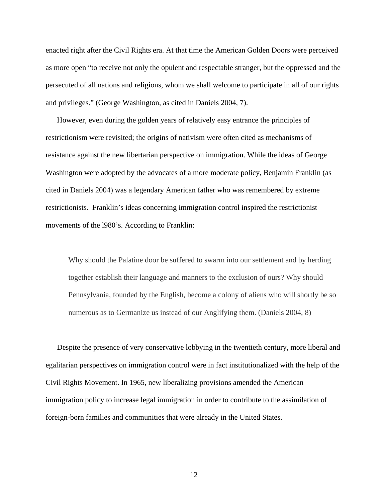enacted right after the Civil Rights era. At that time the American Golden Doors were perceived as more open "to receive not only the opulent and respectable stranger, but the oppressed and the persecuted of all nations and religions, whom we shall welcome to participate in all of our rights and privileges." (George Washington, as cited in Daniels 2004, 7).

However, even during the golden years of relatively easy entrance the principles of restrictionism were revisited; the origins of nativism were often cited as mechanisms of resistance against the new libertarian perspective on immigration. While the ideas of George Washington were adopted by the advocates of a more moderate policy, Benjamin Franklin (as cited in Daniels 2004) was a legendary American father who was remembered by extreme restrictionists. Franklin's ideas concerning immigration control inspired the restrictionist movements of the l980's. According to Franklin:

Why should the Palatine door be suffered to swarm into our settlement and by herding together establish their language and manners to the exclusion of ours? Why should Pennsylvania, founded by the English, become a colony of aliens who will shortly be so numerous as to Germanize us instead of our Anglifying them. (Daniels 2004, 8)

Despite the presence of very conservative lobbying in the twentieth century, more liberal and egalitarian perspectives on immigration control were in fact institutionalized with the help of the Civil Rights Movement. In 1965, new liberalizing provisions amended the American immigration policy to increase legal immigration in order to contribute to the assimilation of foreign-born families and communities that were already in the United States.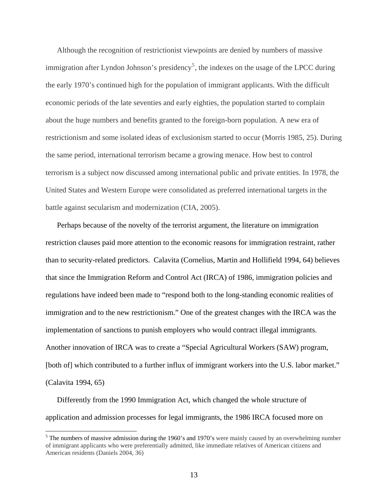Although the recognition of restrictionist viewpoints are denied by numbers of massive immigration after Lyndon Johnson's presidency<sup>[5](#page-19-0)</sup>, the indexes on the usage of the LPCC during the early 1970's continued high for the population of immigrant applicants. With the difficult economic periods of the late seventies and early eighties, the population started to complain about the huge numbers and benefits granted to the foreign-born population. A new era of restrictionism and some isolated ideas of exclusionism started to occur (Morris 1985, 25). During the same period, international terrorism became a growing menace. How best to control terrorism is a subject now discussed among international public and private entities. In 1978, the United States and Western Europe were consolidated as preferred international targets in the battle against secularism and modernization (CIA, 2005).

Perhaps because of the novelty of the terrorist argument, the literature on immigration restriction clauses paid more attention to the economic reasons for immigration restraint, rather than to security-related predictors. Calavita (Cornelius, Martin and Hollifield 1994, 64) believes that since the Immigration Reform and Control Act (IRCA) of 1986, immigration policies and regulations have indeed been made to "respond both to the long-standing economic realities of immigration and to the new restrictionism." One of the greatest changes with the IRCA was the implementation of sanctions to punish employers who would contract illegal immigrants. Another innovation of IRCA was to create a "Special Agricultural Workers (SAW) program, [both of] which contributed to a further influx of immigrant workers into the U.S. labor market." (Calavita 1994, 65)

Differently from the 1990 Immigration Act, which changed the whole structure of application and admission processes for legal immigrants, the 1986 IRCA focused more on

<span id="page-19-0"></span><sup>&</sup>lt;sup>5</sup> The numbers of massive admission during the 1960's and 1970's were mainly caused by an overwhelming number of immigrant applicants who were preferentially admitted, like immediate relatives of American citizens and American residents (Daniels 2004, 36)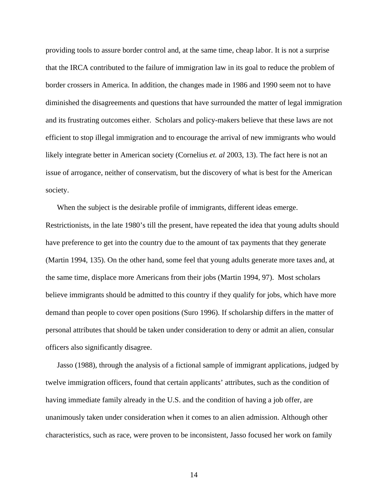providing tools to assure border control and, at the same time, cheap labor. It is not a surprise that the IRCA contributed to the failure of immigration law in its goal to reduce the problem of border crossers in America. In addition, the changes made in 1986 and 1990 seem not to have diminished the disagreements and questions that have surrounded the matter of legal immigration and its frustrating outcomes either. Scholars and policy-makers believe that these laws are not efficient to stop illegal immigration and to encourage the arrival of new immigrants who would likely integrate better in American society (Cornelius *et. al* 2003, 13). The fact here is not an issue of arrogance, neither of conservatism, but the discovery of what is best for the American society.

When the subject is the desirable profile of immigrants, different ideas emerge. Restrictionists, in the late 1980's till the present, have repeated the idea that young adults should have preference to get into the country due to the amount of tax payments that they generate (Martin 1994, 135). On the other hand, some feel that young adults generate more taxes and, at the same time, displace more Americans from their jobs (Martin 1994, 97). Most scholars believe immigrants should be admitted to this country if they qualify for jobs, which have more demand than people to cover open positions (Suro 1996). If scholarship differs in the matter of personal attributes that should be taken under consideration to deny or admit an alien, consular officers also significantly disagree.

Jasso (1988), through the analysis of a fictional sample of immigrant applications, judged by twelve immigration officers, found that certain applicants' attributes, such as the condition of having immediate family already in the U.S. and the condition of having a job offer, are unanimously taken under consideration when it comes to an alien admission. Although other characteristics, such as race, were proven to be inconsistent, Jasso focused her work on family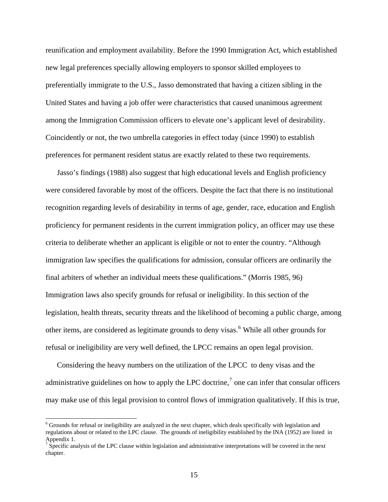reunification and employment availability. Before the 1990 Immigration Act, which established new legal preferences specially allowing employers to sponsor skilled employees to preferentially immigrate to the U.S., Jasso demonstrated that having a citizen sibling in the United States and having a job offer were characteristics that caused unanimous agreement among the Immigration Commission officers to elevate one's applicant level of desirability. Coincidently or not, the two umbrella categories in effect today (since 1990) to establish preferences for permanent resident status are exactly related to these two requirements.

Jasso's findings (1988) also suggest that high educational levels and English proficiency were considered favorable by most of the officers. Despite the fact that there is no institutional recognition regarding levels of desirability in terms of age, gender, race, education and English proficiency for permanent residents in the current immigration policy, an officer may use these criteria to deliberate whether an applicant is eligible or not to enter the country. "Although immigration law specifies the qualifications for admission, consular officers are ordinarily the final arbiters of whether an individual meets these qualifications." (Morris 1985, 96) Immigration laws also specify grounds for refusal or ineligibility. In this section of the legislation, health threats, security threats and the likelihood of becoming a public charge, among other items, are considered as legitimate grounds to deny visas.<sup>[6](#page-21-0)</sup> While all other grounds for refusal or ineligibility are very well defined, the LPCC remains an open legal provision.

Considering the heavy numbers on the utilization of the LPCC to deny visas and the administrative guidelines on how to apply the LPC doctrine,<sup>[7](#page-21-1)</sup> one can infer that consular officers may make use of this legal provision to control flows of immigration qualitatively. If this is true,

<span id="page-21-0"></span> $6$  Grounds for refusal or ineligibility are analyzed in the next chapter, which deals specifically with legislation and regulations about or related to the LPC clause. The grounds of ineligibility established by the INA (1952) are listed in Appendix 1.

<span id="page-21-1"></span> $\sigma$  Specific analysis of the LPC clause within legislation and administrative interpretations will be covered in the next chapter.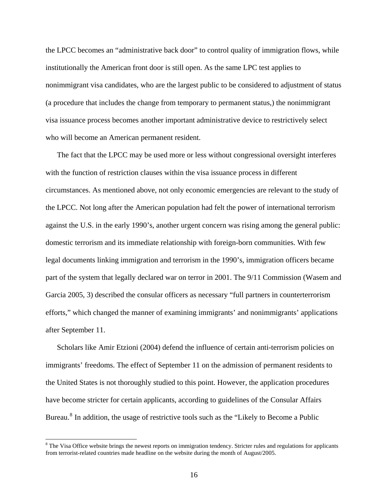the LPCC becomes an "administrative back door" to control quality of immigration flows, while institutionally the American front door is still open. As the same LPC test applies to nonimmigrant visa candidates, who are the largest public to be considered to adjustment of status (a procedure that includes the change from temporary to permanent status,) the nonimmigrant visa issuance process becomes another important administrative device to restrictively select who will become an American permanent resident.

The fact that the LPCC may be used more or less without congressional oversight interferes with the function of restriction clauses within the visa issuance process in different circumstances. As mentioned above, not only economic emergencies are relevant to the study of the LPCC. Not long after the American population had felt the power of international terrorism against the U.S. in the early 1990's, another urgent concern was rising among the general public: domestic terrorism and its immediate relationship with foreign-born communities. With few legal documents linking immigration and terrorism in the 1990's, immigration officers became part of the system that legally declared war on terror in 2001. The 9/11 Commission (Wasem and Garcia 2005, 3) described the consular officers as necessary "full partners in counterterrorism efforts," which changed the manner of examining immigrants' and nonimmigrants' applications after September 11.

Scholars like Amir Etzioni (2004) defend the influence of certain anti-terrorism policies on immigrants' freedoms. The effect of September 11 on the admission of permanent residents to the United States is not thoroughly studied to this point. However, the application procedures have become stricter for certain applicants, according to guidelines of the Consular Affairs Bureau.<sup>[8](#page-22-0)</sup> In addition, the usage of restrictive tools such as the "Likely to Become a Public

l

<span id="page-22-0"></span><sup>&</sup>lt;sup>8</sup> The Visa Office website brings the newest reports on immigration tendency. Stricter rules and regulations for applicants from terrorist-related countries made headline on the website during the month of August/2005.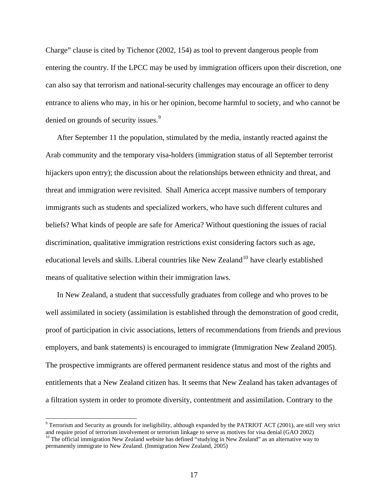Charge" clause is cited by Tichenor (2002, 154) as tool to prevent dangerous people from entering the country. If the LPCC may be used by immigration officers upon their discretion, one can also say that terrorism and national-security challenges may encourage an officer to deny entrance to aliens who may, in his or her opinion, become harmful to society, and who cannot be denied on grounds of security issues.<sup>[9](#page-23-0)</sup>

After September 11 the population, stimulated by the media, instantly reacted against the Arab community and the temporary visa-holders (immigration status of all September terrorist hijackers upon entry); the discussion about the relationships between ethnicity and threat, and threat and immigration were revisited. Shall America accept massive numbers of temporary immigrants such as students and specialized workers, who have such different cultures and beliefs? What kinds of people are safe for America? Without questioning the issues of racial discrimination, qualitative immigration restrictions exist considering factors such as age, educational levels and skills. Liberal countries like New Zealand<sup>[10](#page-23-1)</sup> have clearly established means of qualitative selection within their immigration laws.

In New Zealand, a student that successfully graduates from college and who proves to be well assimilated in society (assimilation is established through the demonstration of good credit, proof of participation in civic associations, letters of recommendations from friends and previous employers, and bank statements) is encouraged to immigrate (Immigration New Zealand 2005). The prospective immigrants are offered permanent residence status and most of the rights and entitlements that a New Zealand citizen has. It seems that New Zealand has taken advantages of a filtration system in order to promote diversity, contentment and assimilation. Contrary to the

<span id="page-23-0"></span> $9^9$  Terrorism and Security as grounds for ineligibility, although expanded by the PATRIOT ACT (2001), are still very strict and require proof of terrorism involvement or terrorism linkage to serve as motives for visa denial (GAO 2002) <sup>10</sup> The official immigration New Zealand website has defined "studying in New Zealand" as an alternative way t

<span id="page-23-1"></span>permanently immigrate to New Zealand. (Immigration New Zealand, 2005)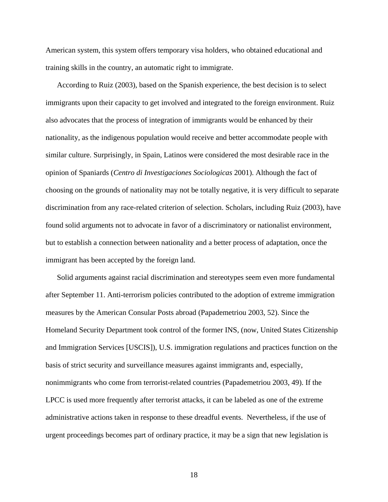American system, this system offers temporary visa holders, who obtained educational and training skills in the country, an automatic right to immigrate.

According to Ruiz (2003), based on the Spanish experience, the best decision is to select immigrants upon their capacity to get involved and integrated to the foreign environment. Ruiz also advocates that the process of integration of immigrants would be enhanced by their nationality, as the indigenous population would receive and better accommodate people with similar culture. Surprisingly, in Spain, Latinos were considered the most desirable race in the opinion of Spaniards (*Centro di Investigaciones Sociologicas* 2001). Although the fact of choosing on the grounds of nationality may not be totally negative, it is very difficult to separate discrimination from any race-related criterion of selection. Scholars, including Ruiz (2003), have found solid arguments not to advocate in favor of a discriminatory or nationalist environment, but to establish a connection between nationality and a better process of adaptation, once the immigrant has been accepted by the foreign land.

Solid arguments against racial discrimination and stereotypes seem even more fundamental after September 11. Anti-terrorism policies contributed to the adoption of extreme immigration measures by the American Consular Posts abroad (Papademetriou 2003, 52). Since the Homeland Security Department took control of the former INS, (now, United States Citizenship and Immigration Services [USCIS]), U.S. immigration regulations and practices function on the basis of strict security and surveillance measures against immigrants and, especially, nonimmigrants who come from terrorist-related countries (Papademetriou 2003, 49). If the LPCC is used more frequently after terrorist attacks, it can be labeled as one of the extreme administrative actions taken in response to these dreadful events. Nevertheless, if the use of urgent proceedings becomes part of ordinary practice, it may be a sign that new legislation is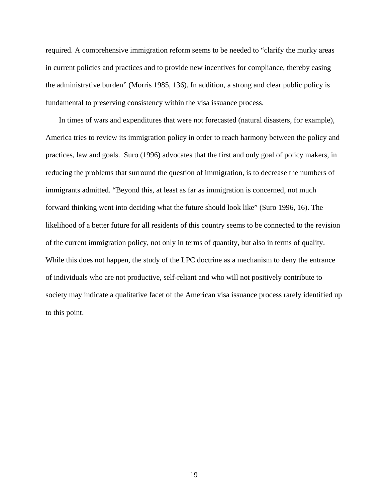required. A comprehensive immigration reform seems to be needed to "clarify the murky areas in current policies and practices and to provide new incentives for compliance, thereby easing the administrative burden" (Morris 1985, 136). In addition, a strong and clear public policy is fundamental to preserving consistency within the visa issuance process.

 In times of wars and expenditures that were not forecasted (natural disasters, for example), America tries to review its immigration policy in order to reach harmony between the policy and practices, law and goals. Suro (1996) advocates that the first and only goal of policy makers, in reducing the problems that surround the question of immigration, is to decrease the numbers of immigrants admitted. "Beyond this, at least as far as immigration is concerned, not much forward thinking went into deciding what the future should look like" (Suro 1996, 16). The likelihood of a better future for all residents of this country seems to be connected to the revision of the current immigration policy, not only in terms of quantity, but also in terms of quality. While this does not happen, the study of the LPC doctrine as a mechanism to deny the entrance of individuals who are not productive, self-reliant and who will not positively contribute to society may indicate a qualitative facet of the American visa issuance process rarely identified up to this point.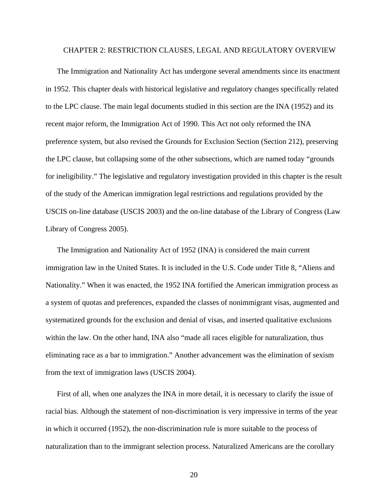#### CHAPTER 2: RESTRICTION CLAUSES, LEGAL AND REGULATORY OVERVIEW

The Immigration and Nationality Act has undergone several amendments since its enactment in 1952. This chapter deals with historical legislative and regulatory changes specifically related to the LPC clause. The main legal documents studied in this section are the INA (1952) and its recent major reform, the Immigration Act of 1990. This Act not only reformed the INA preference system, but also revised the Grounds for Exclusion Section (Section 212), preserving the LPC clause, but collapsing some of the other subsections, which are named today "grounds for ineligibility." The legislative and regulatory investigation provided in this chapter is the result of the study of the American immigration legal restrictions and regulations provided by the USCIS on-line database (USCIS 2003) and the on-line database of the Library of Congress (Law Library of Congress 2005).

The Immigration and Nationality Act of 1952 (INA) is considered the main current immigration law in the United States. It is included in the U.S. Code under Title 8, "Aliens and Nationality." When it was enacted, the 1952 INA fortified the American immigration process as a system of quotas and preferences, expanded the classes of nonimmigrant visas, augmented and systematized grounds for the exclusion and denial of visas, and inserted qualitative exclusions within the law. On the other hand, INA also "made all races eligible for naturalization, thus eliminating race as a bar to immigration." Another advancement was the elimination of sexism from the text of immigration laws (USCIS 2004).

First of all, when one analyzes the INA in more detail, it is necessary to clarify the issue of racial bias. Although the statement of non-discrimination is very impressive in terms of the year in which it occurred (1952), the non-discrimination rule is more suitable to the process of naturalization than to the immigrant selection process. Naturalized Americans are the corollary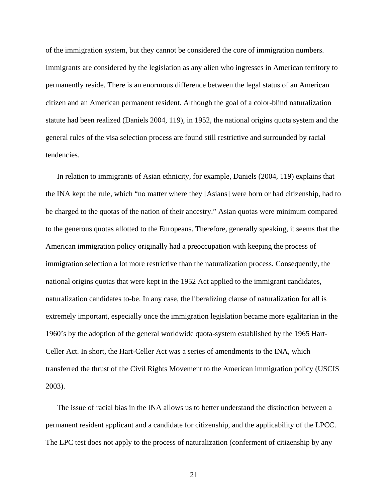of the immigration system, but they cannot be considered the core of immigration numbers. Immigrants are considered by the legislation as any alien who ingresses in American territory to permanently reside. There is an enormous difference between the legal status of an American citizen and an American permanent resident. Although the goal of a color-blind naturalization statute had been realized (Daniels 2004, 119), in 1952, the national origins quota system and the general rules of the visa selection process are found still restrictive and surrounded by racial tendencies.

In relation to immigrants of Asian ethnicity, for example, Daniels (2004, 119) explains that the INA kept the rule, which "no matter where they [Asians] were born or had citizenship, had to be charged to the quotas of the nation of their ancestry." Asian quotas were minimum compared to the generous quotas allotted to the Europeans. Therefore, generally speaking, it seems that the American immigration policy originally had a preoccupation with keeping the process of immigration selection a lot more restrictive than the naturalization process. Consequently, the national origins quotas that were kept in the 1952 Act applied to the immigrant candidates, naturalization candidates to-be. In any case, the liberalizing clause of naturalization for all is extremely important, especially once the immigration legislation became more egalitarian in the 1960's by the adoption of the general worldwide quota-system established by the 1965 Hart-Celler Act. In short, the Hart-Celler Act was a series of amendments to the INA, which transferred the thrust of the Civil Rights Movement to the American immigration policy (USCIS 2003).

The issue of racial bias in the INA allows us to better understand the distinction between a permanent resident applicant and a candidate for citizenship, and the applicability of the LPCC. The LPC test does not apply to the process of naturalization (conferment of citizenship by any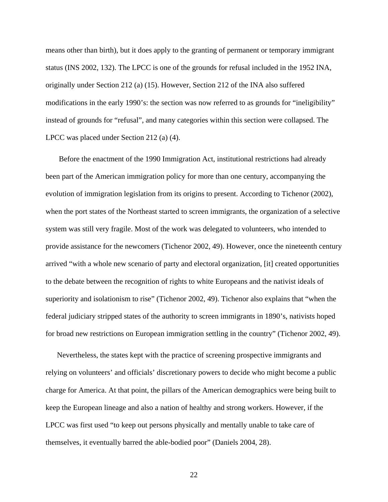means other than birth), but it does apply to the granting of permanent or temporary immigrant status (INS 2002, 132). The LPCC is one of the grounds for refusal included in the 1952 INA, originally under Section 212 (a) (15). However, Section 212 of the INA also suffered modifications in the early 1990's: the section was now referred to as grounds for "ineligibility" instead of grounds for "refusal", and many categories within this section were collapsed. The LPCC was placed under Section 212 (a) (4).

 Before the enactment of the 1990 Immigration Act, institutional restrictions had already been part of the American immigration policy for more than one century, accompanying the evolution of immigration legislation from its origins to present. According to Tichenor (2002), when the port states of the Northeast started to screen immigrants, the organization of a selective system was still very fragile. Most of the work was delegated to volunteers, who intended to provide assistance for the newcomers (Tichenor 2002, 49). However, once the nineteenth century arrived "with a whole new scenario of party and electoral organization, [it] created opportunities to the debate between the recognition of rights to white Europeans and the nativist ideals of superiority and isolationism to rise" (Tichenor 2002, 49). Tichenor also explains that "when the federal judiciary stripped states of the authority to screen immigrants in 1890's, nativists hoped for broad new restrictions on European immigration settling in the country" (Tichenor 2002, 49).

Nevertheless, the states kept with the practice of screening prospective immigrants and relying on volunteers' and officials' discretionary powers to decide who might become a public charge for America. At that point, the pillars of the American demographics were being built to keep the European lineage and also a nation of healthy and strong workers. However, if the LPCC was first used "to keep out persons physically and mentally unable to take care of themselves, it eventually barred the able-bodied poor" (Daniels 2004, 28).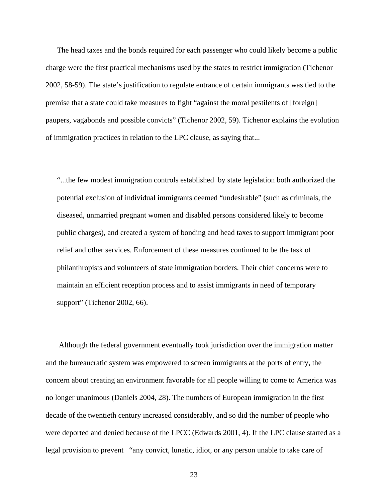The head taxes and the bonds required for each passenger who could likely become a public charge were the first practical mechanisms used by the states to restrict immigration (Tichenor 2002, 58-59). The state's justification to regulate entrance of certain immigrants was tied to the premise that a state could take measures to fight "against the moral pestilents of [foreign] paupers, vagabonds and possible convicts" (Tichenor 2002, 59). Tichenor explains the evolution of immigration practices in relation to the LPC clause, as saying that...

"...the few modest immigration controls established by state legislation both authorized the potential exclusion of individual immigrants deemed "undesirable" (such as criminals, the diseased, unmarried pregnant women and disabled persons considered likely to become public charges), and created a system of bonding and head taxes to support immigrant poor relief and other services. Enforcement of these measures continued to be the task of philanthropists and volunteers of state immigration borders. Their chief concerns were to maintain an efficient reception process and to assist immigrants in need of temporary support" (Tichenor 2002, 66).

 Although the federal government eventually took jurisdiction over the immigration matter and the bureaucratic system was empowered to screen immigrants at the ports of entry, the concern about creating an environment favorable for all people willing to come to America was no longer unanimous (Daniels 2004, 28). The numbers of European immigration in the first decade of the twentieth century increased considerably, and so did the number of people who were deported and denied because of the LPCC (Edwards 2001, 4). If the LPC clause started as a legal provision to prevent "any convict, lunatic, idiot, or any person unable to take care of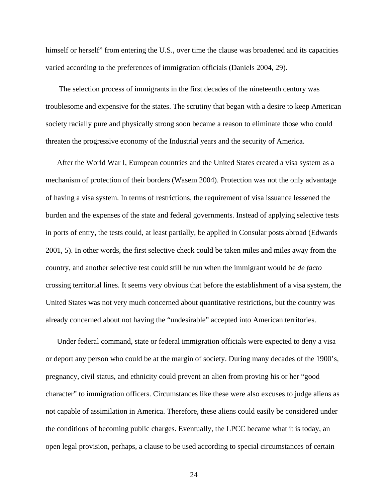himself or herself" from entering the U.S., over time the clause was broadened and its capacities varied according to the preferences of immigration officials (Daniels 2004, 29).

 The selection process of immigrants in the first decades of the nineteenth century was troublesome and expensive for the states. The scrutiny that began with a desire to keep American society racially pure and physically strong soon became a reason to eliminate those who could threaten the progressive economy of the Industrial years and the security of America.

After the World War I, European countries and the United States created a visa system as a mechanism of protection of their borders (Wasem 2004). Protection was not the only advantage of having a visa system. In terms of restrictions, the requirement of visa issuance lessened the burden and the expenses of the state and federal governments. Instead of applying selective tests in ports of entry, the tests could, at least partially, be applied in Consular posts abroad (Edwards 2001, 5). In other words, the first selective check could be taken miles and miles away from the country, and another selective test could still be run when the immigrant would be *de facto* crossing territorial lines. It seems very obvious that before the establishment of a visa system, the United States was not very much concerned about quantitative restrictions, but the country was already concerned about not having the "undesirable" accepted into American territories.

Under federal command, state or federal immigration officials were expected to deny a visa or deport any person who could be at the margin of society. During many decades of the 1900's, pregnancy, civil status, and ethnicity could prevent an alien from proving his or her "good character" to immigration officers. Circumstances like these were also excuses to judge aliens as not capable of assimilation in America. Therefore, these aliens could easily be considered under the conditions of becoming public charges. Eventually, the LPCC became what it is today, an open legal provision, perhaps, a clause to be used according to special circumstances of certain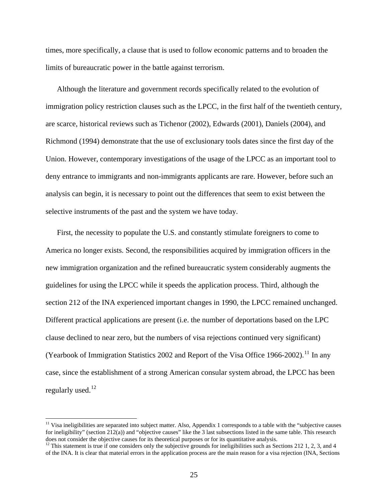times, more specifically, a clause that is used to follow economic patterns and to broaden the limits of bureaucratic power in the battle against terrorism.

Although the literature and government records specifically related to the evolution of immigration policy restriction clauses such as the LPCC, in the first half of the twentieth century, are scarce, historical reviews such as Tichenor (2002), Edwards (2001), Daniels (2004), and Richmond (1994) demonstrate that the use of exclusionary tools dates since the first day of the Union. However, contemporary investigations of the usage of the LPCC as an important tool to deny entrance to immigrants and non-immigrants applicants are rare. However, before such an analysis can begin, it is necessary to point out the differences that seem to exist between the selective instruments of the past and the system we have today.

First, the necessity to populate the U.S. and constantly stimulate foreigners to come to America no longer exists. Second, the responsibilities acquired by immigration officers in the new immigration organization and the refined bureaucratic system considerably augments the guidelines for using the LPCC while it speeds the application process. Third, although the section 212 of the INA experienced important changes in 1990, the LPCC remained unchanged. Different practical applications are present (i.e. the number of deportations based on the LPC clause declined to near zero, but the numbers of visa rejections continued very significant) (Yearbook of Immigration Statistics 2002 and Report of the Visa Office 1966-2002).<sup>[11](#page-31-0)</sup> In any case, since the establishment of a strong American consular system abroad, the LPCC has been regularly used. $^{12}$  $^{12}$  $^{12}$ 

<span id="page-31-0"></span> $11$  Visa ineligibilities are separated into subject matter. Also, Appendix 1 corresponds to a table with the "subjective causes" for ineligibility" (section 212(a)) and "objective causes" like the 3 last subsections listed in the same table. This research does not consider the objective causes for its theoretical purposes or for its quantitative analysis.

<span id="page-31-1"></span> $12$  This statement is true if one considers only the subjective grounds for ineligibilities such as Sections 212 1, 2, 3, and 4 of the INA. It is clear that material errors in the application process are the main reason for a visa rejection (INA, Sections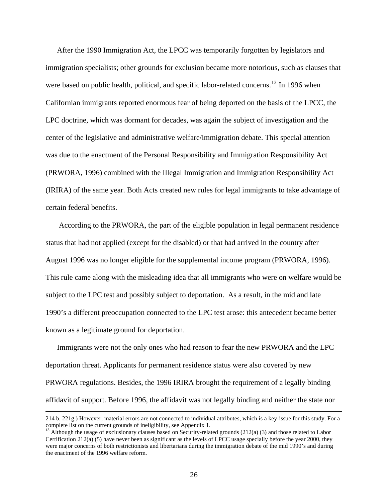After the 1990 Immigration Act, the LPCC was temporarily forgotten by legislators and immigration specialists; other grounds for exclusion became more notorious, such as clauses that were based on public health, political, and specific labor-related concerns.<sup>13</sup> In 1996 when Californian immigrants reported enormous fear of being deported on the basis of the LPCC, the LPC doctrine, which was dormant for decades, was again the subject of investigation and the center of the legislative and administrative welfare/immigration debate. This special attention was due to the enactment of the Personal Responsibility and Immigration Responsibility Act (PRWORA, 1996) combined with the Illegal Immigration and Immigration Responsibility Act (IRIRA) of the same year. Both Acts created new rules for legal immigrants to take advantage of certain federal benefits.

 According to the PRWORA, the part of the eligible population in legal permanent residence status that had not applied (except for the disabled) or that had arrived in the country after August 1996 was no longer eligible for the supplemental income program (PRWORA, 1996). This rule came along with the misleading idea that all immigrants who were on welfare would be subject to the LPC test and possibly subject to deportation. As a result, in the mid and late 1990's a different preoccupation connected to the LPC test arose: this antecedent became better known as a legitimate ground for deportation.

Immigrants were not the only ones who had reason to fear the new PRWORA and the LPC deportation threat. Applicants for permanent residence status were also covered by new PRWORA regulations. Besides, the 1996 IRIRA brought the requirement of a legally binding affidavit of support. Before 1996, the affidavit was not legally binding and neither the state nor

 <sup>214</sup> b, 221g.) However, material errors are not connected to individual attributes, which is a key-issue for this study. For a complete list on the current grounds of ineligibility, see Appendix 1.

<span id="page-32-0"></span> $^{13}$  Although the usage of exclusionary clauses based on Security-related grounds (212(a) (3) and those related to Labor Certification 212(a) (5) have never been as significant as the levels of LPCC usage specially before the year 2000, they were major concerns of both restrictionists and libertarians during the immigration debate of the mid 1990's and during the enactment of the 1996 welfare reform.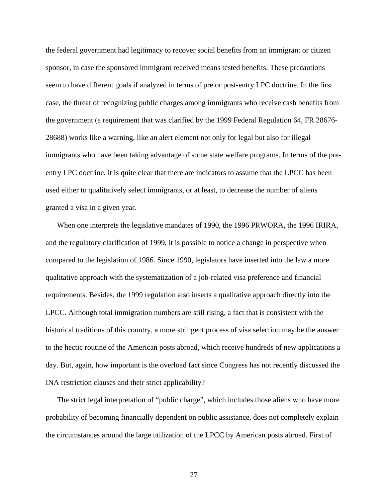the federal government had legitimacy to recover social benefits from an immigrant or citizen sponsor, in case the sponsored immigrant received means tested benefits. These precautions seem to have different goals if analyzed in terms of pre or post-entry LPC doctrine. In the first case, the threat of recognizing public charges among immigrants who receive cash benefits from the government (a requirement that was clarified by the 1999 Federal Regulation 64, FR 28676- 28688) works like a warning, like an alert element not only for legal but also for illegal immigrants who have been taking advantage of some state welfare programs. In terms of the preentry LPC doctrine, it is quite clear that there are indicators to assume that the LPCC has been used either to qualitatively select immigrants, or at least, to decrease the number of aliens granted a visa in a given year.

When one interprets the legislative mandates of 1990, the 1996 PRWORA, the 1996 IRIRA, and the regulatory clarification of 1999, it is possible to notice a change in perspective when compared to the legislation of 1986. Since 1990, legislators have inserted into the law a more qualitative approach with the systematization of a job-related visa preference and financial requirements. Besides, the 1999 regulation also inserts a qualitative approach directly into the LPCC. Although total immigration numbers are still rising, a fact that is consistent with the historical traditions of this country, a more stringent process of visa selection may be the answer to the hectic routine of the American posts abroad, which receive hundreds of new applications a day. But, again, how important is the overload fact since Congress has not recently discussed the INA restriction clauses and their strict applicability?

The strict legal interpretation of "public charge", which includes those aliens who have more probability of becoming financially dependent on public assistance, does not completely explain the circumstances around the large utilization of the LPCC by American posts abroad. First of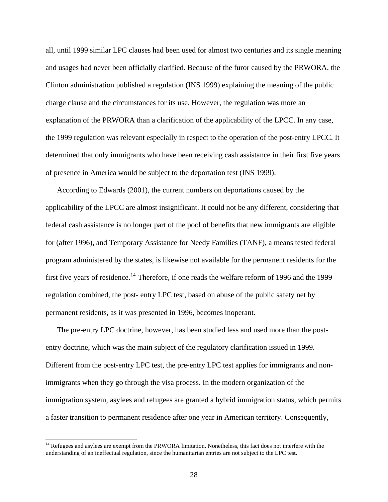all, until 1999 similar LPC clauses had been used for almost two centuries and its single meaning and usages had never been officially clarified. Because of the furor caused by the PRWORA, the Clinton administration published a regulation (INS 1999) explaining the meaning of the public charge clause and the circumstances for its use. However, the regulation was more an explanation of the PRWORA than a clarification of the applicability of the LPCC. In any case, the 1999 regulation was relevant especially in respect to the operation of the post-entry LPCC. It determined that only immigrants who have been receiving cash assistance in their first five years of presence in America would be subject to the deportation test (INS 1999).

According to Edwards (2001), the current numbers on deportations caused by the applicability of the LPCC are almost insignificant. It could not be any different, considering that federal cash assistance is no longer part of the pool of benefits that new immigrants are eligible for (after 1996), and Temporary Assistance for Needy Families (TANF), a means tested federal program administered by the states, is likewise not available for the permanent residents for the first five years of residence.<sup>[14](#page-34-0)</sup> Therefore, if one reads the welfare reform of 1996 and the 1999 regulation combined, the post- entry LPC test, based on abuse of the public safety net by permanent residents, as it was presented in 1996, becomes inoperant.

The pre-entry LPC doctrine, however, has been studied less and used more than the postentry doctrine, which was the main subject of the regulatory clarification issued in 1999. Different from the post-entry LPC test, the pre-entry LPC test applies for immigrants and nonimmigrants when they go through the visa process. In the modern organization of the immigration system, asylees and refugees are granted a hybrid immigration status, which permits a faster transition to permanent residence after one year in American territory. Consequently,

l

<span id="page-34-0"></span><sup>&</sup>lt;sup>14</sup> Refugees and asylees are exempt from the PRWORA limitation. Nonetheless, this fact does not interfere with the understanding of an ineffectual regulation, since the humanitarian entries are not subject to the LPC test.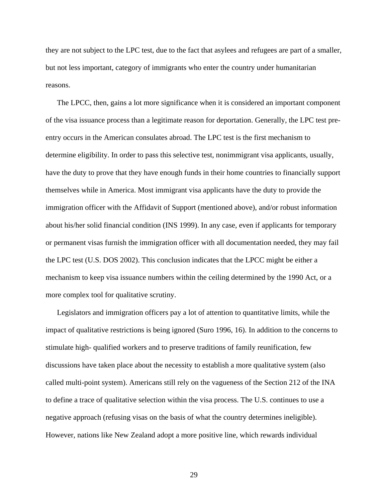they are not subject to the LPC test, due to the fact that asylees and refugees are part of a smaller, but not less important, category of immigrants who enter the country under humanitarian reasons.

The LPCC, then, gains a lot more significance when it is considered an important component of the visa issuance process than a legitimate reason for deportation. Generally, the LPC test preentry occurs in the American consulates abroad. The LPC test is the first mechanism to determine eligibility. In order to pass this selective test, nonimmigrant visa applicants, usually, have the duty to prove that they have enough funds in their home countries to financially support themselves while in America. Most immigrant visa applicants have the duty to provide the immigration officer with the Affidavit of Support (mentioned above), and/or robust information about his/her solid financial condition (INS 1999). In any case, even if applicants for temporary or permanent visas furnish the immigration officer with all documentation needed, they may fail the LPC test (U.S. DOS 2002). This conclusion indicates that the LPCC might be either a mechanism to keep visa issuance numbers within the ceiling determined by the 1990 Act, or a more complex tool for qualitative scrutiny.

Legislators and immigration officers pay a lot of attention to quantitative limits, while the impact of qualitative restrictions is being ignored (Suro 1996, 16). In addition to the concerns to stimulate high- qualified workers and to preserve traditions of family reunification, few discussions have taken place about the necessity to establish a more qualitative system (also called multi-point system). Americans still rely on the vagueness of the Section 212 of the INA to define a trace of qualitative selection within the visa process. The U.S. continues to use a negative approach (refusing visas on the basis of what the country determines ineligible). However, nations like New Zealand adopt a more positive line, which rewards individual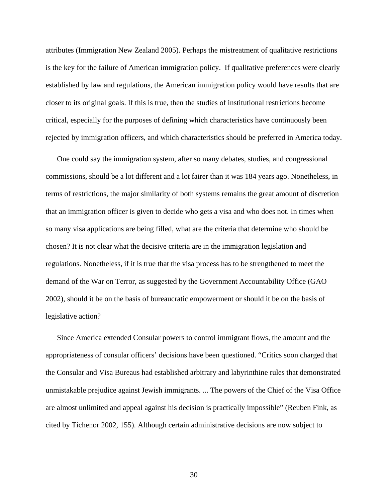attributes (Immigration New Zealand 2005). Perhaps the mistreatment of qualitative restrictions is the key for the failure of American immigration policy. If qualitative preferences were clearly established by law and regulations, the American immigration policy would have results that are closer to its original goals. If this is true, then the studies of institutional restrictions become critical, especially for the purposes of defining which characteristics have continuously been rejected by immigration officers, and which characteristics should be preferred in America today.

One could say the immigration system, after so many debates, studies, and congressional commissions, should be a lot different and a lot fairer than it was 184 years ago. Nonetheless, in terms of restrictions, the major similarity of both systems remains the great amount of discretion that an immigration officer is given to decide who gets a visa and who does not. In times when so many visa applications are being filled, what are the criteria that determine who should be chosen? It is not clear what the decisive criteria are in the immigration legislation and regulations. Nonetheless, if it is true that the visa process has to be strengthened to meet the demand of the War on Terror, as suggested by the Government Accountability Office (GAO 2002), should it be on the basis of bureaucratic empowerment or should it be on the basis of legislative action?

Since America extended Consular powers to control immigrant flows, the amount and the appropriateness of consular officers' decisions have been questioned. "Critics soon charged that the Consular and Visa Bureaus had established arbitrary and labyrinthine rules that demonstrated unmistakable prejudice against Jewish immigrants. ... The powers of the Chief of the Visa Office are almost unlimited and appeal against his decision is practically impossible" (Reuben Fink, as cited by Tichenor 2002, 155). Although certain administrative decisions are now subject to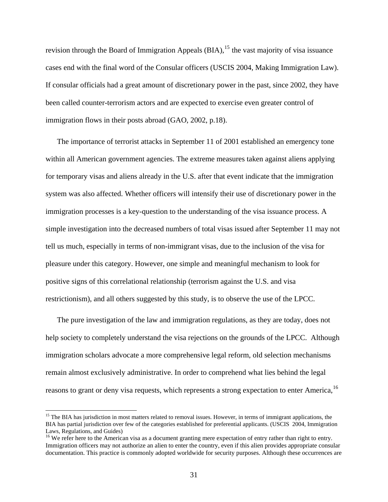revision through the Board of Immigration Appeals  $(BIA)$ ,<sup>[15](#page-37-0)</sup> the vast majority of visa issuance cases end with the final word of the Consular officers (USCIS 2004, Making Immigration Law). If consular officials had a great amount of discretionary power in the past, since 2002, they have been called counter-terrorism actors and are expected to exercise even greater control of immigration flows in their posts abroad (GAO, 2002, p.18).

The importance of terrorist attacks in September 11 of 2001 established an emergency tone within all American government agencies. The extreme measures taken against aliens applying for temporary visas and aliens already in the U.S. after that event indicate that the immigration system was also affected. Whether officers will intensify their use of discretionary power in the immigration processes is a key-question to the understanding of the visa issuance process. A simple investigation into the decreased numbers of total visas issued after September 11 may not tell us much, especially in terms of non-immigrant visas, due to the inclusion of the visa for pleasure under this category. However, one simple and meaningful mechanism to look for positive signs of this correlational relationship (terrorism against the U.S. and visa restrictionism), and all others suggested by this study, is to observe the use of the LPCC.

The pure investigation of the law and immigration regulations, as they are today, does not help society to completely understand the visa rejections on the grounds of the LPCC. Although immigration scholars advocate a more comprehensive legal reform, old selection mechanisms remain almost exclusively administrative. In order to comprehend what lies behind the legal reasons to grant or deny visa requests, which represents a strong expectation to enter America.<sup>[16](#page-37-1)</sup>

<span id="page-37-0"></span><sup>&</sup>lt;sup>15</sup> The BIA has jurisdiction in most matters related to removal issues. However, in terms of immigrant applications, the BIA has partial jurisdiction over few of the categories established for preferential applicants. (USCIS 2004, Immigration Laws, Regulations, and Guides)

<span id="page-37-1"></span><sup>&</sup>lt;sup>16</sup> We refer here to the American visa as a document granting mere expectation of entry rather than right to entry. Immigration officers may not authorize an alien to enter the country, even if this alien provides appropriate consular documentation. This practice is commonly adopted worldwide for security purposes. Although these occurrences are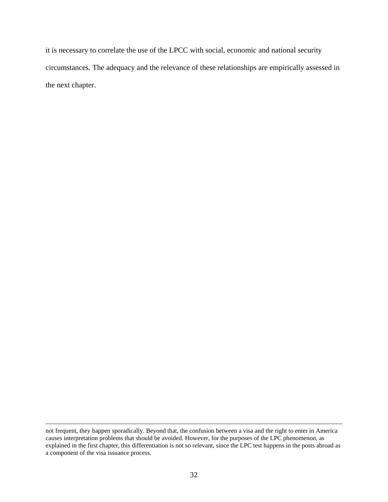it is necessary to correlate the use of the LPCC with social, economic and national security circumstances. The adequacy and the relevance of these relationships are empirically assessed in the next chapter.

not frequent, they happen sporadically. Beyond that, the confusion between a visa and the right to enter in America causes interpretation problems that should be avoided. However, for the purposes of the LPC phenomenon, as explained in the first chapter, this differentiation is not so relevant, since the LPC test happens in the posts abroad as a component of the visa issuance process.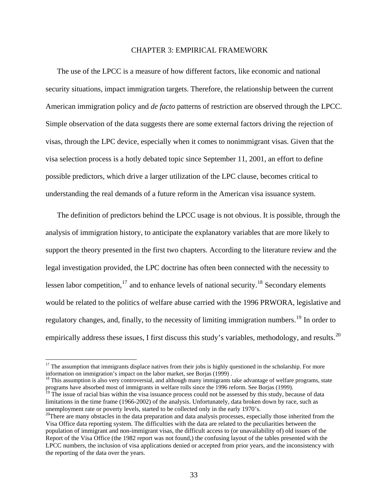#### CHAPTER 3: EMPIRICAL FRAMEWORK

The use of the LPCC is a measure of how different factors, like economic and national security situations, impact immigration targets. Therefore, the relationship between the current American immigration policy and *de facto* patterns of restriction are observed through the LPCC. Simple observation of the data suggests there are some external factors driving the rejection of visas, through the LPC device, especially when it comes to nonimmigrant visas. Given that the visa selection process is a hotly debated topic since September 11, 2001, an effort to define possible predictors, which drive a larger utilization of the LPC clause, becomes critical to understanding the real demands of a future reform in the American visa issuance system.

The definition of predictors behind the LPCC usage is not obvious. It is possible, through the analysis of immigration history, to anticipate the explanatory variables that are more likely to support the theory presented in the first two chapters. According to the literature review and the legal investigation provided, the LPC doctrine has often been connected with the necessity to lessen labor competition, $17$  and to enhance levels of national security.<sup>18</sup> Secondary elements would be related to the politics of welfare abuse carried with the 1996 PRWORA, legislative and regulatory changes, and, finally, to the necessity of limiting immigration numbers.<sup>[19](#page-39-2)</sup> In order to empirically address these issues, I first discuss this study's variables, methodology, and results.<sup>[20](#page-39-3)</sup>

<span id="page-39-0"></span> $17$  The assumption that immigrants displace natives from their jobs is highly questioned in the scholarship. For more information on immigration's impact on the labor market, see Borjas (1999) .

<span id="page-39-1"></span> $18$  This assumption is also very controversial, and although many immigrants take advantage of welfare programs, state programs have absorbed most of immigrants in welfare rolls since the 1996 reform. See Borjas (1999).

<span id="page-39-2"></span><sup>&</sup>lt;sup>19</sup> The issue of racial bias within the visa issuance process could not be assessed by this study, because of data limitations in the time frame (1966-2002) of the analysis. Unfortunately, data broken down by race, such as unemployment rate or poverty levels, started to be collected only in the early 1970's.

<span id="page-39-3"></span> $20$ There are many obstacles in the data preparation and data analysis processes, especially those inherited from the Visa Office data reporting system. The difficulties with the data are related to the peculiarities between the population of immigrant and non-immigrant visas, the difficult access to (or unavailability of) old issues of the Report of the Visa Office (the 1982 report was not found,) the confusing layout of the tables presented with the LPCC numbers, the inclusion of visa applications denied or accepted from prior years, and the inconsistency with the reporting of the data over the years.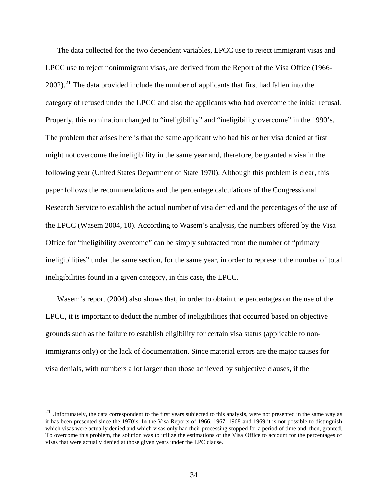The data collected for the two dependent variables, LPCC use to reject immigrant visas and LPCC use to reject nonimmigrant visas, are derived from the Report of the Visa Office (1966-  $2002$ ).<sup>[21](#page-40-0)</sup> The data provided include the number of applicants that first had fallen into the category of refused under the LPCC and also the applicants who had overcome the initial refusal. Properly, this nomination changed to "ineligibility" and "ineligibility overcome" in the 1990's. The problem that arises here is that the same applicant who had his or her visa denied at first might not overcome the ineligibility in the same year and, therefore, be granted a visa in the following year (United States Department of State 1970). Although this problem is clear, this paper follows the recommendations and the percentage calculations of the Congressional Research Service to establish the actual number of visa denied and the percentages of the use of the LPCC (Wasem 2004, 10). According to Wasem's analysis, the numbers offered by the Visa Office for "ineligibility overcome" can be simply subtracted from the number of "primary ineligibilities" under the same section, for the same year, in order to represent the number of total ineligibilities found in a given category, in this case, the LPCC.

Wasem's report (2004) also shows that, in order to obtain the percentages on the use of the LPCC, it is important to deduct the number of ineligibilities that occurred based on objective grounds such as the failure to establish eligibility for certain visa status (applicable to nonimmigrants only) or the lack of documentation. Since material errors are the major causes for visa denials, with numbers a lot larger than those achieved by subjective clauses, if the

<span id="page-40-0"></span> $21$  Unfortunately, the data correspondent to the first years subjected to this analysis, were not presented in the same way as it has been presented since the 1970's. In the Visa Reports of 1966, 1967, 1968 and 1969 it is not possible to distinguish which visas were actually denied and which visas only had their processing stopped for a period of time and, then, granted. To overcome this problem, the solution was to utilize the estimations of the Visa Office to account for the percentages of visas that were actually denied at those given years under the LPC clause.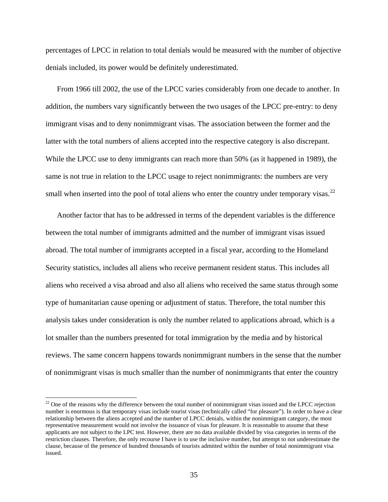percentages of LPCC in relation to total denials would be measured with the number of objective denials included, its power would be definitely underestimated.

From 1966 till 2002, the use of the LPCC varies considerably from one decade to another. In addition, the numbers vary significantly between the two usages of the LPCC pre-entry: to deny immigrant visas and to deny nonimmigrant visas. The association between the former and the latter with the total numbers of aliens accepted into the respective category is also discrepant. While the LPCC use to deny immigrants can reach more than 50% (as it happened in 1989), the same is not true in relation to the LPCC usage to reject nonimmigrants: the numbers are very small when inserted into the pool of total aliens who enter the country under temporary visas. $^{22}$  $^{22}$  $^{22}$ 

Another factor that has to be addressed in terms of the dependent variables is the difference between the total number of immigrants admitted and the number of immigrant visas issued abroad. The total number of immigrants accepted in a fiscal year, according to the Homeland Security statistics, includes all aliens who receive permanent resident status. This includes all aliens who received a visa abroad and also all aliens who received the same status through some type of humanitarian cause opening or adjustment of status. Therefore, the total number this analysis takes under consideration is only the number related to applications abroad, which is a lot smaller than the numbers presented for total immigration by the media and by historical reviews. The same concern happens towards nonimmigrant numbers in the sense that the number of nonimmigrant visas is much smaller than the number of nonimmigrants that enter the country

 $\overline{\phantom{a}}$ 

<span id="page-41-0"></span> $22$  One of the reasons why the difference between the total number of nonimmigrant visas issued and the LPCC rejection number is enormous is that temporary visas include tourist visas (technically called "for pleasure"). In order to have a clear relationship between the aliens accepted and the number of LPCC denials, within the nonimmigrant category, the most representative measurement would not involve the issuance of visas for pleasure. It is reasonable to assume that these applicants are not subject to the LPC test. However, there are no data available divided by visa categories in terms of the restriction clauses. Therefore, the only recourse I have is to use the inclusive number, but attempt to not underestimate the clause, because of the presence of hundred thousands of tourists admitted within the number of total nonimmigrant visa issued.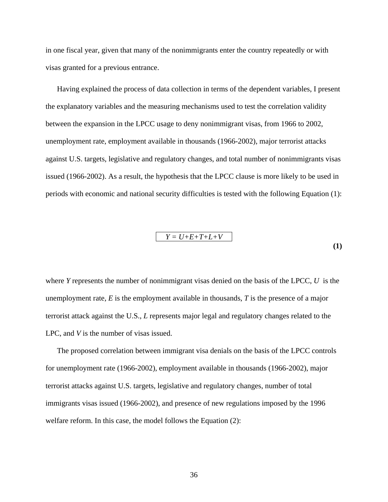in one fiscal year, given that many of the nonimmigrants enter the country repeatedly or with visas granted for a previous entrance.

Having explained the process of data collection in terms of the dependent variables, I present the explanatory variables and the measuring mechanisms used to test the correlation validity between the expansion in the LPCC usage to deny nonimmigrant visas, from 1966 to 2002, unemployment rate, employment available in thousands (1966-2002), major terrorist attacks against U.S. targets, legislative and regulatory changes, and total number of nonimmigrants visas issued (1966-2002). As a result, the hypothesis that the LPCC clause is more likely to be used in periods with economic and national security difficulties is tested with the following Equation (1):

$$
Y = U + E + T + L + V \tag{1}
$$

where *Y* represents the number of nonimmigrant visas denied on the basis of the LPCC, *U* is the unemployment rate, *E* is the employment available in thousands, *T* is the presence of a major terrorist attack against the U.S., *L* represents major legal and regulatory changes related to the LPC, and *V* is the number of visas issued.

The proposed correlation between immigrant visa denials on the basis of the LPCC controls for unemployment rate (1966-2002), employment available in thousands (1966-2002), major terrorist attacks against U.S. targets, legislative and regulatory changes, number of total immigrants visas issued (1966-2002), and presence of new regulations imposed by the 1996 welfare reform. In this case, the model follows the Equation (2):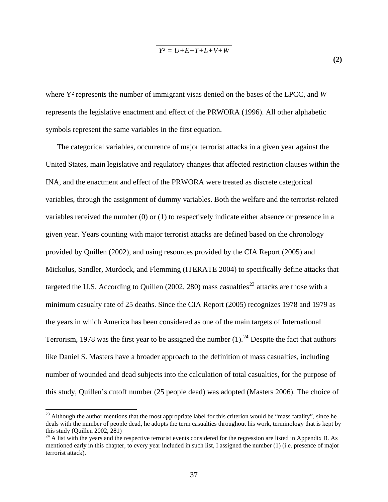$$
Y^2 = U + E + T + L + V + W
$$

**(2)** 

where Y² represents the number of immigrant visas denied on the bases of the LPCC, and *W* represents the legislative enactment and effect of the PRWORA (1996). All other alphabetic symbols represent the same variables in the first equation.

The categorical variables, occurrence of major terrorist attacks in a given year against the United States, main legislative and regulatory changes that affected restriction clauses within the INA, and the enactment and effect of the PRWORA were treated as discrete categorical variables, through the assignment of dummy variables. Both the welfare and the terrorist-related variables received the number (0) or (1) to respectively indicate either absence or presence in a given year. Years counting with major terrorist attacks are defined based on the chronology provided by Quillen (2002), and using resources provided by the CIA Report (2005) and Mickolus, Sandler, Murdock, and Flemming (ITERATE 2004) to specifically define attacks that targeted the U.S. According to Quillen (2002, 280) mass casualties<sup>[23](#page-43-0)</sup> attacks are those with a minimum casualty rate of 25 deaths. Since the CIA Report (2005) recognizes 1978 and 1979 as the years in which America has been considered as one of the main targets of International Terrorism, 1978 was the first year to be assigned the number  $(1)$ .<sup>[24](#page-43-1)</sup> Despite the fact that authors like Daniel S. Masters have a broader approach to the definition of mass casualties, including number of wounded and dead subjects into the calculation of total casualties, for the purpose of this study, Quillen's cutoff number (25 people dead) was adopted (Masters 2006). The choice of

<span id="page-43-0"></span> $^{23}$  Although the author mentions that the most appropriate label for this criterion would be "mass fatality", since he deals with the number of people dead, he adopts the term casualties throughout his work, terminology that is kept by this study (Quillen 2002, 281)

<span id="page-43-1"></span> $24$  A list with the years and the respective terrorist events considered for the regression are listed in Appendix B. As mentioned early in this chapter, to every year included in such list, I assigned the number (1) (i.e. presence of major terrorist attack).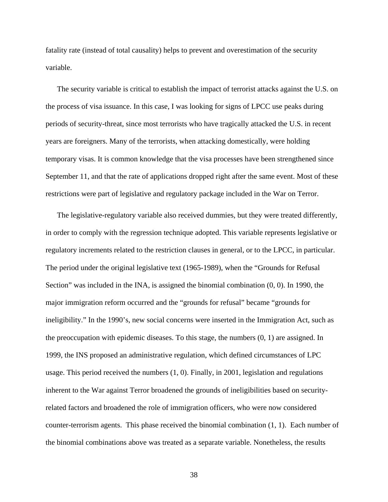fatality rate (instead of total causality) helps to prevent and overestimation of the security variable.

The security variable is critical to establish the impact of terrorist attacks against the U.S. on the process of visa issuance. In this case, I was looking for signs of LPCC use peaks during periods of security-threat, since most terrorists who have tragically attacked the U.S. in recent years are foreigners. Many of the terrorists, when attacking domestically, were holding temporary visas. It is common knowledge that the visa processes have been strengthened since September 11, and that the rate of applications dropped right after the same event. Most of these restrictions were part of legislative and regulatory package included in the War on Terror.

The legislative-regulatory variable also received dummies, but they were treated differently, in order to comply with the regression technique adopted. This variable represents legislative or regulatory increments related to the restriction clauses in general, or to the LPCC, in particular. The period under the original legislative text (1965-1989), when the "Grounds for Refusal Section" was included in the INA, is assigned the binomial combination (0, 0). In 1990, the major immigration reform occurred and the "grounds for refusal" became "grounds for ineligibility." In the 1990's, new social concerns were inserted in the Immigration Act, such as the preoccupation with epidemic diseases. To this stage, the numbers (0, 1) are assigned. In 1999, the INS proposed an administrative regulation, which defined circumstances of LPC usage. This period received the numbers (1, 0). Finally, in 2001, legislation and regulations inherent to the War against Terror broadened the grounds of ineligibilities based on securityrelated factors and broadened the role of immigration officers, who were now considered counter-terrorism agents. This phase received the binomial combination (1, 1). Each number of the binomial combinations above was treated as a separate variable. Nonetheless, the results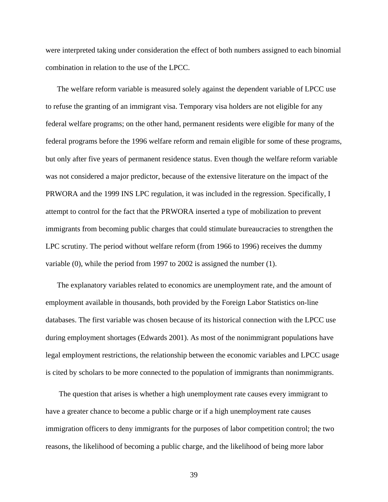were interpreted taking under consideration the effect of both numbers assigned to each binomial combination in relation to the use of the LPCC.

The welfare reform variable is measured solely against the dependent variable of LPCC use to refuse the granting of an immigrant visa. Temporary visa holders are not eligible for any federal welfare programs; on the other hand, permanent residents were eligible for many of the federal programs before the 1996 welfare reform and remain eligible for some of these programs, but only after five years of permanent residence status. Even though the welfare reform variable was not considered a major predictor, because of the extensive literature on the impact of the PRWORA and the 1999 INS LPC regulation, it was included in the regression. Specifically, I attempt to control for the fact that the PRWORA inserted a type of mobilization to prevent immigrants from becoming public charges that could stimulate bureaucracies to strengthen the LPC scrutiny. The period without welfare reform (from 1966 to 1996) receives the dummy variable (0), while the period from 1997 to 2002 is assigned the number (1).

The explanatory variables related to economics are unemployment rate, and the amount of employment available in thousands, both provided by the Foreign Labor Statistics on-line databases. The first variable was chosen because of its historical connection with the LPCC use during employment shortages (Edwards 2001). As most of the nonimmigrant populations have legal employment restrictions, the relationship between the economic variables and LPCC usage is cited by scholars to be more connected to the population of immigrants than nonimmigrants.

 The question that arises is whether a high unemployment rate causes every immigrant to have a greater chance to become a public charge or if a high unemployment rate causes immigration officers to deny immigrants for the purposes of labor competition control; the two reasons, the likelihood of becoming a public charge, and the likelihood of being more labor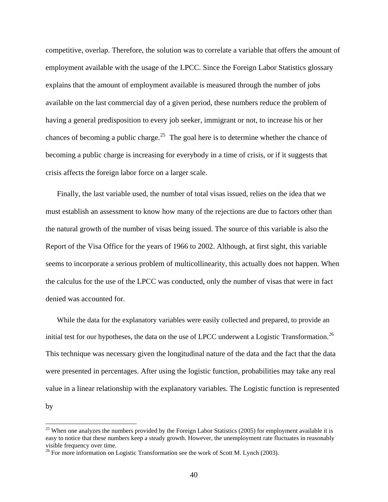competitive, overlap. Therefore, the solution was to correlate a variable that offers the amount of employment available with the usage of the LPCC. Since the Foreign Labor Statistics glossary explains that the amount of employment available is measured through the number of jobs available on the last commercial day of a given period, these numbers reduce the problem of having a general predisposition to every job seeker, immigrant or not, to increase his or her chances of becoming a public charge.<sup>[25](#page-46-0)</sup> The goal here is to determine whether the chance of becoming a public charge is increasing for everybody in a time of crisis, or if it suggests that crisis affects the foreign labor force on a larger scale.

Finally, the last variable used, the number of total visas issued, relies on the idea that we must establish an assessment to know how many of the rejections are due to factors other than the natural growth of the number of visas being issued. The source of this variable is also the Report of the Visa Office for the years of 1966 to 2002. Although, at first sight, this variable seems to incorporate a serious problem of multicollinearity, this actually does not happen. When the calculus for the use of the LPCC was conducted, only the number of visas that were in fact denied was accounted for.

While the data for the explanatory variables were easily collected and prepared, to provide an initial test for our hypotheses, the data on the use of LPCC underwent a Logistic Transformation.<sup>[26](#page-46-1)</sup> This technique was necessary given the longitudinal nature of the data and the fact that the data were presented in percentages. After using the logistic function, probabilities may take any real value in a linear relationship with the explanatory variables. The Logistic function is represented by

<span id="page-46-0"></span><sup>&</sup>lt;sup>25</sup> When one analyzes the numbers provided by the Foreign Labor Statistics (2005) for employment available it is easy to notice that these numbers keep a steady growth. However, the unemployment rate fluctuates in reasonably visible frequency over time.

<span id="page-46-1"></span> $^{26}$  For more information on Logistic Transformation see the work of Scott M. Lynch (2003).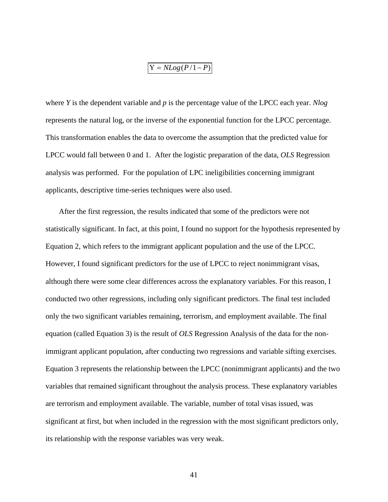$$
Y = NLog(P/1 - P)
$$

where *Y* is the dependent variable and *p* is the percentage value of the LPCC each year. *Nlog*  represents the natural log, or the inverse of the exponential function for the LPCC percentage. This transformation enables the data to overcome the assumption that the predicted value for LPCC would fall between 0 and 1. After the logistic preparation of the data, *OLS* Regression analysis was performed. For the population of LPC ineligibilities concerning immigrant applicants, descriptive time-series techniques were also used.

 After the first regression, the results indicated that some of the predictors were not statistically significant. In fact, at this point, I found no support for the hypothesis represented by Equation 2, which refers to the immigrant applicant population and the use of the LPCC. However, I found significant predictors for the use of LPCC to reject nonimmigrant visas, although there were some clear differences across the explanatory variables. For this reason, I conducted two other regressions, including only significant predictors. The final test included only the two significant variables remaining, terrorism, and employment available. The final equation (called Equation 3) is the result of *OLS* Regression Analysis of the data for the nonimmigrant applicant population, after conducting two regressions and variable sifting exercises. Equation 3 represents the relationship between the LPCC (nonimmigrant applicants) and the two variables that remained significant throughout the analysis process. These explanatory variables are terrorism and employment available. The variable, number of total visas issued, was significant at first, but when included in the regression with the most significant predictors only, its relationship with the response variables was very weak.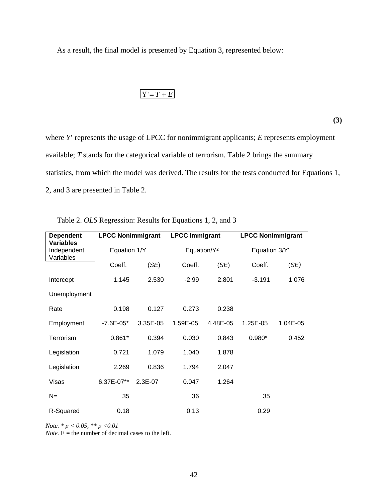As a result, the final model is presented by Equation 3, represented below:

# $Y' = T + E$

**(3)** 

where *Y*' represents the usage of LPCC for nonimmigrant applicants; *E* represents employment available; *T* stands for the categorical variable of terrorism. Table 2 brings the summary statistics, from which the model was derived. The results for the tests conducted for Equations 1, 2, and 3 are presented in Table 2.

| <b>Dependent</b><br><b>Variables</b> | <b>LPCC Nonimmigrant</b> |          | <b>LPCC Immigrant</b>   |          | <b>LPCC Nonimmigrant</b> |          |
|--------------------------------------|--------------------------|----------|-------------------------|----------|--------------------------|----------|
| Independent<br>Variables             | Equation 1/Y             |          | Equation/Y <sup>2</sup> |          | Equation 3/Y'            |          |
|                                      | Coeff.                   | (SE)     | Coeff.                  | (SE)     | Coeff.                   | (SE)     |
| Intercept                            | 1.145                    | 2.530    | $-2.99$                 | 2.801    | $-3.191$                 | 1.076    |
| Unemployment                         |                          |          |                         |          |                          |          |
| Rate                                 | 0.198                    | 0.127    | 0.273                   | 0.238    |                          |          |
| Employment                           | $-7.6E - 05*$            | 3.35E-05 | 1.59E-05                | 4.48E-05 | 1.25E-05                 | 1.04E-05 |
| Terrorism                            | $0.861*$                 | 0.394    | 0.030                   | 0.843    | $0.980*$                 | 0.452    |
| Legislation                          | 0.721                    | 1.079    | 1.040                   | 1.878    |                          |          |
| Legislation                          | 2.269                    | 0.836    | 1.794                   | 2.047    |                          |          |
| Visas                                | 6.37E-07**               | 2.3E-07  | 0.047                   | 1.264    |                          |          |
| $N =$                                | 35                       |          | 36                      |          | 35                       |          |
| R-Squared                            | 0.18                     |          | 0.13                    |          | 0.29                     |          |

|  | Table 2. OLS Regression: Results for Equations 1, 2, and 3 |  |
|--|------------------------------------------------------------|--|
|  |                                                            |  |

*Note.* \*  $p < 0.05$ , \*\*  $p < 0.01$ 

*Note.*  $\vec{E}$  = the number of decimal cases to the left.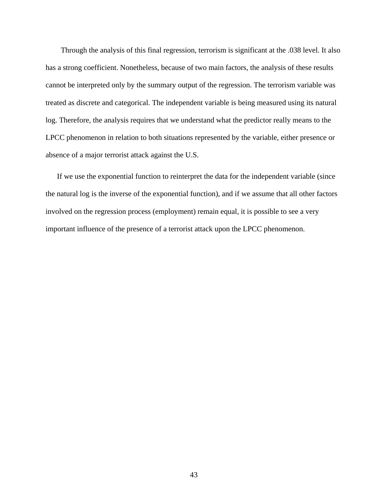Through the analysis of this final regression, terrorism is significant at the .038 level. It also has a strong coefficient. Nonetheless, because of two main factors, the analysis of these results cannot be interpreted only by the summary output of the regression. The terrorism variable was treated as discrete and categorical. The independent variable is being measured using its natural log. Therefore, the analysis requires that we understand what the predictor really means to the LPCC phenomenon in relation to both situations represented by the variable, either presence or absence of a major terrorist attack against the U.S.

If we use the exponential function to reinterpret the data for the independent variable (since the natural log is the inverse of the exponential function), and if we assume that all other factors involved on the regression process (employment) remain equal, it is possible to see a very important influence of the presence of a terrorist attack upon the LPCC phenomenon.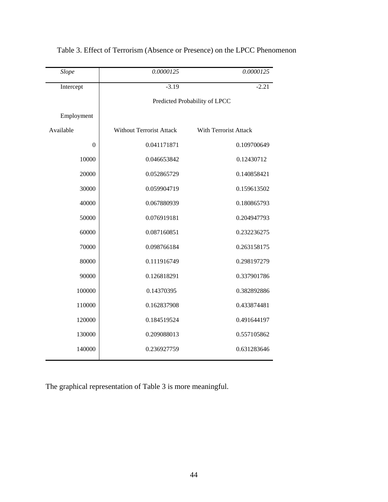| Slope          | 0.0000125                       | 0.0000125             |  |
|----------------|---------------------------------|-----------------------|--|
| Intercept      | $-3.19$                         | $-2.21$               |  |
|                | Predicted Probability of LPCC   |                       |  |
| Employment     |                                 |                       |  |
| Available      | <b>Without Terrorist Attack</b> | With Terrorist Attack |  |
| $\overline{0}$ | 0.041171871                     | 0.109700649           |  |
| 10000          | 0.046653842                     | 0.12430712            |  |
| 20000          | 0.052865729                     | 0.140858421           |  |
| 30000          | 0.059904719                     | 0.159613502           |  |
| 40000          | 0.067880939                     | 0.180865793           |  |
| 50000          | 0.076919181                     | 0.204947793           |  |
| 60000          | 0.087160851                     | 0.232236275           |  |
| 70000          | 0.098766184                     | 0.263158175           |  |
| 80000          | 0.111916749                     | 0.298197279           |  |
| 90000          | 0.126818291                     | 0.337901786           |  |
| 100000         | 0.14370395                      | 0.382892886           |  |
| 110000         | 0.162837908                     | 0.433874481           |  |
| 120000         | 0.184519524                     | 0.491644197           |  |
| 130000         | 0.209088013                     | 0.557105862           |  |
| 140000         | 0.236927759                     | 0.631283646           |  |
|                |                                 |                       |  |

## Table 3. Effect of Terrorism (Absence or Presence) on the LPCC Phenomenon

The graphical representation of Table 3 is more meaningful.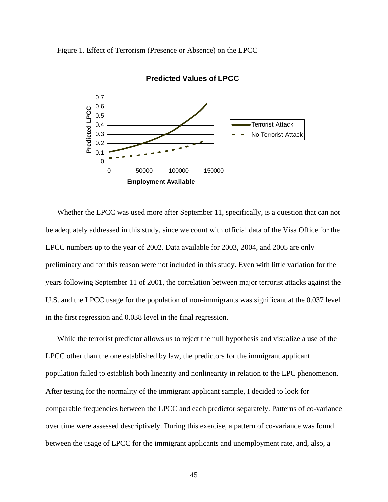Figure 1. Effect of Terrorism (Presence or Absence) on the LPCC



**Predicted Values of LPCC**

Whether the LPCC was used more after September 11, specifically, is a question that can not be adequately addressed in this study, since we count with official data of the Visa Office for the LPCC numbers up to the year of 2002. Data available for 2003, 2004, and 2005 are only preliminary and for this reason were not included in this study. Even with little variation for the years following September 11 of 2001, the correlation between major terrorist attacks against the U.S. and the LPCC usage for the population of non-immigrants was significant at the 0.037 level in the first regression and 0.038 level in the final regression.

While the terrorist predictor allows us to reject the null hypothesis and visualize a use of the LPCC other than the one established by law, the predictors for the immigrant applicant population failed to establish both linearity and nonlinearity in relation to the LPC phenomenon. After testing for the normality of the immigrant applicant sample, I decided to look for comparable frequencies between the LPCC and each predictor separately. Patterns of co-variance over time were assessed descriptively. During this exercise, a pattern of co-variance was found between the usage of LPCC for the immigrant applicants and unemployment rate, and, also, a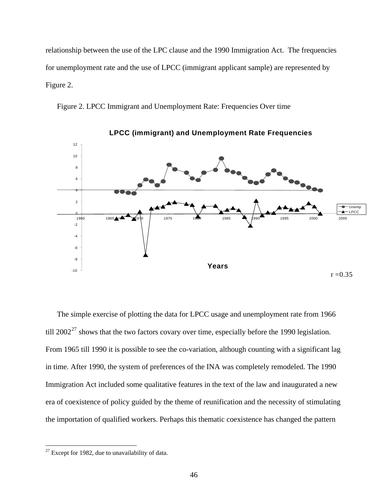relationship between the use of the LPC clause and the 1990 Immigration Act. The frequencies for unemployment rate and the use of LPCC (immigrant applicant sample) are represented by Figure 2.

Figure 2. LPCC Immigrant and Unemployment Rate: Frequencies Over time



**LPCC (immigrant) and Unemployment Rate Frequencies** 

The simple exercise of plotting the data for LPCC usage and unemployment rate from 1966 till  $2002^{27}$  $2002^{27}$  $2002^{27}$  shows that the two factors covary over time, especially before the 1990 legislation. From 1965 till 1990 it is possible to see the co-variation, although counting with a significant lag in time. After 1990, the system of preferences of the INA was completely remodeled. The 1990 Immigration Act included some qualitative features in the text of the law and inaugurated a new era of coexistence of policy guided by the theme of reunification and the necessity of stimulating the importation of qualified workers. Perhaps this thematic coexistence has changed the pattern

<span id="page-52-0"></span> $27$  Except for 1982, due to unavailability of data.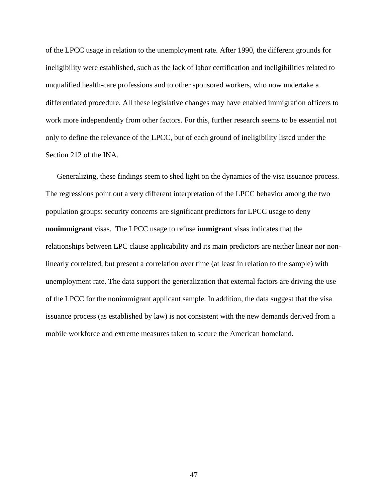of the LPCC usage in relation to the unemployment rate. After 1990, the different grounds for ineligibility were established, such as the lack of labor certification and ineligibilities related to unqualified health-care professions and to other sponsored workers, who now undertake a differentiated procedure. All these legislative changes may have enabled immigration officers to work more independently from other factors. For this, further research seems to be essential not only to define the relevance of the LPCC, but of each ground of ineligibility listed under the Section 212 of the INA.

Generalizing, these findings seem to shed light on the dynamics of the visa issuance process. The regressions point out a very different interpretation of the LPCC behavior among the two population groups: security concerns are significant predictors for LPCC usage to deny **nonimmigrant** visas. The LPCC usage to refuse **immigrant** visas indicates that the relationships between LPC clause applicability and its main predictors are neither linear nor nonlinearly correlated, but present a correlation over time (at least in relation to the sample) with unemployment rate. The data support the generalization that external factors are driving the use of the LPCC for the nonimmigrant applicant sample. In addition, the data suggest that the visa issuance process (as established by law) is not consistent with the new demands derived from a mobile workforce and extreme measures taken to secure the American homeland.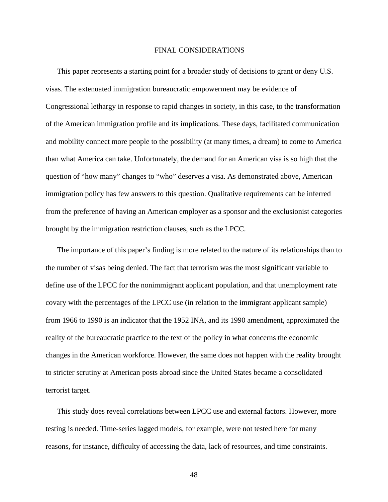#### FINAL CONSIDERATIONS

This paper represents a starting point for a broader study of decisions to grant or deny U.S. visas. The extenuated immigration bureaucratic empowerment may be evidence of Congressional lethargy in response to rapid changes in society, in this case, to the transformation of the American immigration profile and its implications. These days, facilitated communication and mobility connect more people to the possibility (at many times, a dream) to come to America than what America can take. Unfortunately, the demand for an American visa is so high that the question of "how many" changes to "who" deserves a visa. As demonstrated above, American immigration policy has few answers to this question. Qualitative requirements can be inferred from the preference of having an American employer as a sponsor and the exclusionist categories brought by the immigration restriction clauses, such as the LPCC.

The importance of this paper's finding is more related to the nature of its relationships than to the number of visas being denied. The fact that terrorism was the most significant variable to define use of the LPCC for the nonimmigrant applicant population, and that unemployment rate covary with the percentages of the LPCC use (in relation to the immigrant applicant sample) from 1966 to 1990 is an indicator that the 1952 INA, and its 1990 amendment, approximated the reality of the bureaucratic practice to the text of the policy in what concerns the economic changes in the American workforce. However, the same does not happen with the reality brought to stricter scrutiny at American posts abroad since the United States became a consolidated terrorist target.

This study does reveal correlations between LPCC use and external factors. However, more testing is needed. Time-series lagged models, for example, were not tested here for many reasons, for instance, difficulty of accessing the data, lack of resources, and time constraints.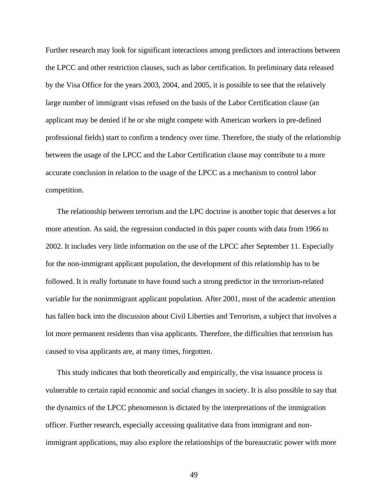Further research may look for significant interactions among predictors and interactions between the LPCC and other restriction clauses, such as labor certification. In preliminary data released by the Visa Office for the years 2003, 2004, and 2005, it is possible to see that the relatively large number of immigrant visas refused on the basis of the Labor Certification clause (an applicant may be denied if he or she might compete with American workers in pre-defined professional fields) start to confirm a tendency over time. Therefore, the study of the relationship between the usage of the LPCC and the Labor Certification clause may contribute to a more accurate conclusion in relation to the usage of the LPCC as a mechanism to control labor competition.

The relationship between terrorism and the LPC doctrine is another topic that deserves a lot more attention. As said, the regression conducted in this paper counts with data from 1966 to 2002. It includes very little information on the use of the LPCC after September 11. Especially for the non-immigrant applicant population, the development of this relationship has to be followed. It is really fortunate to have found such a strong predictor in the terrorism-related variable for the nonimmigrant applicant population. After 2001, most of the academic attention has fallen back into the discussion about Civil Liberties and Terrorism, a subject that involves a lot more permanent residents than visa applicants. Therefore, the difficulties that terrorism has caused to visa applicants are, at many times, forgotten.

This study indicates that both theoretically and empirically, the visa issuance process is vulnerable to certain rapid economic and social changes in society. It is also possible to say that the dynamics of the LPCC phenomenon is dictated by the interpretations of the immigration officer. Further research, especially accessing qualitative data from immigrant and nonimmigrant applications, may also explore the relationships of the bureaucratic power with more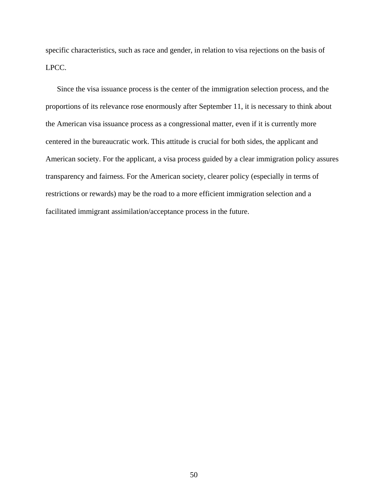specific characteristics, such as race and gender, in relation to visa rejections on the basis of LPCC.

Since the visa issuance process is the center of the immigration selection process, and the proportions of its relevance rose enormously after September 11, it is necessary to think about the American visa issuance process as a congressional matter, even if it is currently more centered in the bureaucratic work. This attitude is crucial for both sides, the applicant and American society. For the applicant, a visa process guided by a clear immigration policy assures transparency and fairness. For the American society, clearer policy (especially in terms of restrictions or rewards) may be the road to a more efficient immigration selection and a facilitated immigrant assimilation/acceptance process in the future.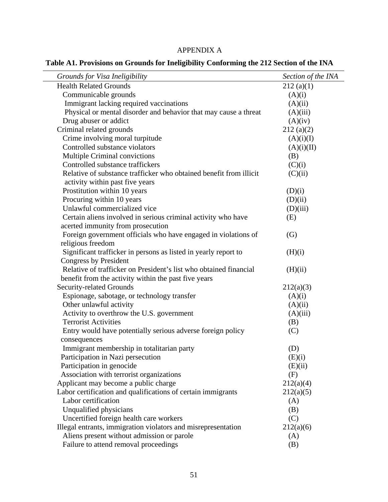### APPENDIX A

**Table A1. Provisions on Grounds for Ineligibility Conforming the 212 Section of the INA** 

| Grounds for Visa Ineligibility                                     | Section of the INA |
|--------------------------------------------------------------------|--------------------|
| <b>Health Related Grounds</b>                                      | 212(a)(1)          |
| Communicable grounds                                               | (A)(i)             |
| Immigrant lacking required vaccinations                            | (A)(ii)            |
| Physical or mental disorder and behavior that may cause a threat   | (A)(iii)           |
| Drug abuser or addict                                              | (A)(iv)            |
| Criminal related grounds                                           | 212(a)(2)          |
| Crime involving moral turpitude                                    | (A)(i)(I)          |
| Controlled substance violators                                     | (A)(i)(II)         |
| <b>Multiple Criminal convictions</b>                               | (B)                |
| Controlled substance traffickers                                   | (C)(i)             |
| Relative of substance trafficker who obtained benefit from illicit | (C)(ii)            |
| activity within past five years                                    |                    |
| Prostitution within 10 years                                       | (D)(i)             |
| Procuring within 10 years                                          | (D)(ii)            |
| Unlawful commercialized vice                                       | (D)(iii)           |
| Certain aliens involved in serious criminal activity who have      | (E)                |
| acerted immunity from prosecution                                  |                    |
| Foreign government officials who have engaged in violations of     | (G)                |
| religious freedom                                                  |                    |
| Significant trafficker in persons as listed in yearly report to    | (H)(i)             |
| Congress by President                                              |                    |
| Relative of trafficker on President's list who obtained financial  | (H)(ii)            |
| benefit from the activity within the past five years               |                    |
| <b>Security-related Grounds</b>                                    | 212(a)(3)          |
| Espionage, sabotage, or technology transfer                        | (A)(i)             |
| Other unlawful activity                                            | (A)(ii)            |
| Activity to overthrow the U.S. government                          | (A)(iii)           |
| <b>Terrorist Activities</b>                                        | (B)                |
| Entry would have potentially serious adverse foreign policy        | (C)                |
| consequences                                                       |                    |
| Immigrant membership in totalitarian party                         | (D)                |
| Participation in Nazi persecution                                  | (E)(i)             |
| Participation in genocide                                          | (E)(ii)            |
| Association with terrorist organizations                           | (F)                |
| Applicant may become a public charge                               | 212(a)(4)          |
| Labor certification and qualifications of certain immigrants       | 212(a)(5)          |
| Labor certification                                                | (A)                |
| Unqualified physicians                                             | (B)                |
| Uncertified foreign health care workers                            | (C)                |
| Illegal entrants, immigration violators and misrepresentation      | 212(a)(6)          |
| Aliens present without admission or parole                         | (A)                |
| Failure to attend removal proceedings                              | (B)                |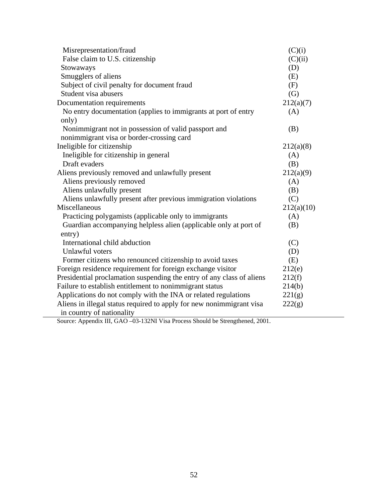| Misrepresentation/fraud                                               | (C)(i)     |
|-----------------------------------------------------------------------|------------|
| False claim to U.S. citizenship                                       | (C)(ii)    |
| Stowaways                                                             | (D)        |
| Smugglers of aliens                                                   | (E)        |
| Subject of civil penalty for document fraud                           | (F)        |
| Student visa abusers                                                  | (G)        |
| Documentation requirements                                            | 212(a)(7)  |
| No entry documentation (applies to immigrants at port of entry        | (A)        |
| only)                                                                 |            |
| Nonimmigrant not in possession of valid passport and                  | (B)        |
| nonimmigrant visa or border-crossing card                             |            |
| Ineligible for citizenship                                            | 212(a)(8)  |
| Ineligible for citizenship in general                                 | (A)        |
| Draft evaders                                                         | (B)        |
| Aliens previously removed and unlawfully present                      | 212(a)(9)  |
| Aliens previously removed                                             | (A)        |
| Aliens unlawfully present                                             | (B)        |
| Aliens unlawfully present after previous immigration violations       | (C)        |
| Miscellaneous                                                         | 212(a)(10) |
| Practicing polygamists (applicable only to immigrants                 | (A)        |
| Guardian accompanying helpless alien (applicable only at port of      | (B)        |
| entry)                                                                |            |
| International child abduction                                         | (C)        |
| Unlawful voters                                                       | (D)        |
| Former citizens who renounced citizenship to avoid taxes              | (E)        |
| Foreign residence requirement for foreign exchange visitor            | 212(e)     |
| Presidential proclamation suspending the entry of any class of aliens | 212(f)     |
| Failure to establish entitlement to nonimmigrant status               | 214(b)     |
| Applications do not comply with the INA or related regulations        | 221(g)     |
| Aliens in illegal status required to apply for new nonimmigrant visa  | 222(g)     |
| in country of nationality                                             |            |

Source: Appendix III, GAO –03-132NI Visa Process Should be Strengthened, 2001.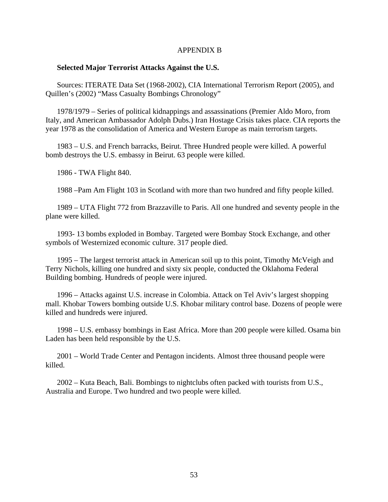#### APPENDIX B

#### **Selected Major Terrorist Attacks Against the U.S.**

Sources: ITERATE Data Set (1968-2002), CIA International Terrorism Report (2005), and Quillen's (2002) "Mass Casualty Bombings Chronology"

1978/1979 – Series of political kidnappings and assassinations (Premier Aldo Moro, from Italy, and American Ambassador Adolph Dubs.) Iran Hostage Crisis takes place. CIA reports the year 1978 as the consolidation of America and Western Europe as main terrorism targets.

1983 – U.S. and French barracks, Beirut. Three Hundred people were killed. A powerful bomb destroys the U.S. embassy in Beirut. 63 people were killed.

1986 - TWA Flight 840.

1988 –Pam Am Flight 103 in Scotland with more than two hundred and fifty people killed.

1989 – UTA Flight 772 from Brazzaville to Paris. All one hundred and seventy people in the plane were killed.

1993- 13 bombs exploded in Bombay. Targeted were Bombay Stock Exchange, and other symbols of Westernized economic culture. 317 people died.

1995 – The largest terrorist attack in American soil up to this point, Timothy McVeigh and Terry Nichols, killing one hundred and sixty six people, conducted the Oklahoma Federal Building bombing. Hundreds of people were injured.

1996 – Attacks against U.S. increase in Colombia. Attack on Tel Aviv's largest shopping mall. Khobar Towers bombing outside U.S. Khobar military control base. Dozens of people were killed and hundreds were injured.

1998 – U.S. embassy bombings in East Africa. More than 200 people were killed. Osama bin Laden has been held responsible by the U.S.

2001 – World Trade Center and Pentagon incidents. Almost three thousand people were killed.

2002 – Kuta Beach, Bali. Bombings to nightclubs often packed with tourists from U.S., Australia and Europe. Two hundred and two people were killed.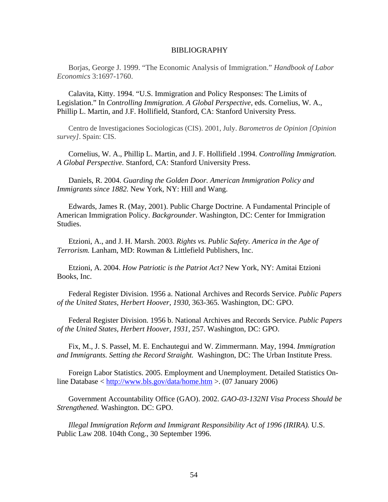#### BIBLIOGRAPHY

Borjas, George J. 1999. "The Economic Analysis of Immigration." *Handbook of Labor Economics* 3:1697-1760.

Calavita, Kitty. 1994. "U.S. Immigration and Policy Responses: The Limits of Legislation." In *Controlling Immigration. A Global Perspective,* eds. Cornelius, W. A., Phillip L. Martin, and J.F. Hollifield, Stanford, CA: Stanford University Press.

Centro de Investigaciones Sociologicas (CIS). 2001, July. *Barometros de Opinion [Opinion survey]*. Spain: CIS.

Cornelius, W. A., Phillip L. Martin, and J. F. Hollifield .1994. *Controlling Immigration. A Global Perspective.* Stanford, CA: Stanford University Press.

Daniels, R. 2004. *Guarding the Golden Door. American Immigration Policy and Immigrants since 1882.* New York, NY: Hill and Wang.

Edwards, James R. (May, 2001). Public Charge Doctrine. A Fundamental Principle of American Immigration Policy. *Backgrounder*. Washington, DC: Center for Immigration Studies.

Etzioni, A., and J. H. Marsh. 2003. *Rights vs. Public Safety. America in the Age of Terrorism.* Lanham, MD: Rowman & Littlefield Publishers, Inc.

Etzioni, A. 2004. *How Patriotic is the Patriot Act?* New York, NY: Amitai Etzioni Books, Inc.

Federal Register Division. 1956 a. National Archives and Records Service. *Public Papers of the United States, Herbert Hoover, 1930,* 363-365. Washington, DC: GPO.

Federal Register Division. 1956 b. National Archives and Records Service. *Public Papers of the United States, Herbert Hoover, 1931,* 257. Washington, DC: GPO.

Fix, M., J. S. Passel, M. E. Enchautegui and W. Zimmermann. May, 1994. *Immigration and Immigrants. Setting the Record Straight.* Washington, DC: The Urban Institute Press.

Foreign Labor Statistics. 2005. Employment and Unemployment. Detailed Statistics Online Database < <http://www.bls.gov/data/home.htm> >. (07 January 2006)

Government Accountability Office (GAO). 2002. *GAO-03-132NI Visa Process Should be Strengthened.* Washington. DC: GPO.

*Illegal Immigration Reform and Immigrant Responsibility Act of 1996 (IRIRA).* U.S. Public Law 208. 104th Cong., 30 September 1996.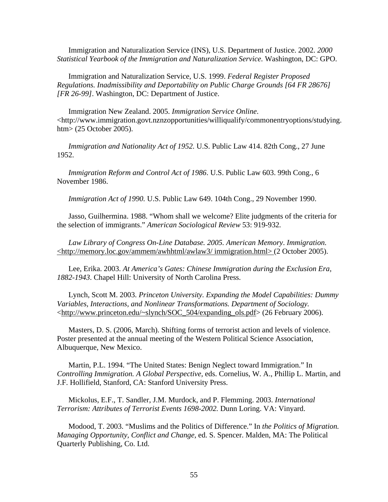Immigration and Naturalization Service (INS), U.S. Department of Justice. 2002. *2000 Statistical Yearbook of the Immigration and Naturalization Service.* Washington, DC: GPO.

Immigration and Naturalization Service, U.S. 1999. *Federal Register Proposed Regulations. Inadmissibility and Deportability on Public Charge Grounds [64 FR 28676] [FR 26-99]*. Washington, DC: Department of Justice.

Immigration New Zealand. 2005. *Immigration Service Online*. <http://www.immigration.govt.nznzopportunities/williqualify/commonentryoptions/studying. htm> (25 October 2005).

*Immigration and Nationality Act of 1952.* U.S. Public Law 414. 82th Cong., 27 June 1952.

*Immigration Reform and Control Act of 1986*. U.S. Public Law 603. 99th Cong., 6 November 1986.

*Immigration Act of 1990.* U.S. Public Law 649. 104th Cong., 29 November 1990.

Jasso, Guilhermina. 1988. "Whom shall we welcome? Elite judgments of the criteria for the selection of immigrants." *American Sociological Review* 53: 919-932*.* 

*Law Library of Congress On-Line Database. 2005. American Memory*. *Immigration.* <[http://memory.loc.gov/ammem/](http://memory.loc.gov/ammem)awhhtml/awlaw3/ immigration.html> (2 October 2005).

Lee, Erika. 2003. *At America's Gates: Chinese Immigration during the Exclusion Era, 1882-1943*. Chapel Hill: University of North Carolina Press.

Lynch, Scott M. 2003. *Princeton University. Expanding the Model Capabilities: Dummy Variables, Interactions, and Nonlinear Transformations. Department of Sociology.* <[http://www.princeton.edu/~slynch/SOC\\_504/expanding\\_ols.pdf](http://www.princeton.edu/%7Eslynch/SOC_504/expanding_ols.pdf)> (26 February 2006).

Masters, D. S. (2006, March). Shifting forms of terrorist action and levels of violence. Poster presented at the annual meeting of the Western Political Science Association, Albuquerque, New Mexico.

Martin, P.L. 1994. "The United States: Benign Neglect toward Immigration." In *Controlling Immigration. A Global Perspective,* eds. Cornelius, W. A., Phillip L. Martin, and J.F. Hollifield, Stanford, CA: Stanford University Press.

Mickolus, E.F., T. Sandler, J.M. Murdock, and P. Flemming. 2003. *International Terrorism: Attributes of Terrorist Events 1698-2002.* Dunn Loring. VA: Vinyard.

Modood, T. 2003. "Muslims and the Politics of Difference." In *the Politics of Migration. Managing Opportunity, Conflict and Change,* ed. S. Spencer. Malden, MA: The Political Quarterly Publishing, Co. Ltd.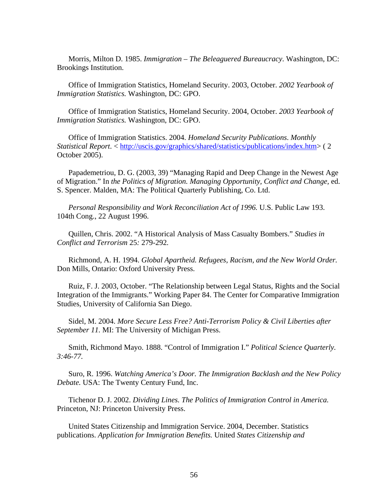Morris, Milton D. 1985. *Immigration – The Beleaguered Bureaucracy*. Washington, DC: Brookings Institution.

Office of Immigration Statistics, Homeland Security. 2003, October. *2002 Yearbook of Immigration Statistics.* Washington, DC: GPO.

Office of Immigration Statistics, Homeland Security. 2004, October. *2003 Yearbook of Immigration Statistics.* Washington, DC: GPO.

Office of Immigration Statistics. 2004. *Homeland Security Publications*. *Monthly Statistical Report*. <<http://uscis.gov/graphics/shared/statistics/publications/index.htm>> ( 2 October 2005).

Papademetriou, D. G. (2003, 39) "Managing Rapid and Deep Change in the Newest Age of Migration." In *the Politics of Migration. Managing Opportunity, Conflict and Change,* ed. S. Spencer. Malden, MA: The Political Quarterly Publishing, Co. Ltd.

*Personal Responsibility and Work Reconciliation Act of 1996.* U.S. Public Law 193. 104th Cong., 22 August 1996.

Quillen, Chris. 2002. "A Historical Analysis of Mass Casualty Bombers." *Studies in Conflict and Terrorism* 25*:* 279*-*292*.* 

Richmond, A. H. 1994. *Global Apartheid. Refugees, Racism, and the New World Order.* Don Mills, Ontario: Oxford University Press.

Ruiz, F. J. 2003, October. "The Relationship between Legal Status, Rights and the Social Integration of the Immigrants." Working Paper 84. The Center for Comparative Immigration Studies, University of California San Diego.

Sidel, M. 2004. *More Secure Less Free? Anti-Terrorism Policy & Civil Liberties after September 11.* MI: The University of Michigan Press.

Smith, Richmond Mayo. 1888. "Control of Immigration I." *Political Science Quarterly. 3:46-77.* 

Suro, R. 1996. *Watching America's Door. The Immigration Backlash and the New Policy Debate.* USA: The Twenty Century Fund, Inc.

Tichenor D. J. 2002. *Dividing Lines. The Politics of Immigration Control in America.*  Princeton, NJ: Princeton University Press.

United States Citizenship and Immigration Service. 2004, December. Statistics publications. *Application for Immigration Benefits.* United *States Citizenship and*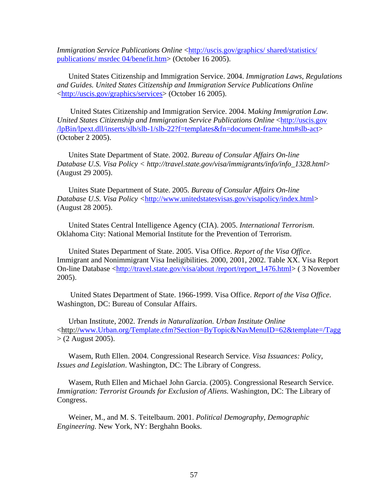*Immigration Service Publications Online <http://uscis.gov/graphics/ shared/statistics/* [publications/ msrdec 04/benefit.htm>](http://uscis.gov/graphics/%20shared/statistics/%20publications/%20msrdec%2004/benefit.htm) (October 16 2005).

United States Citizenship and Immigration Service. 2004. *Immigration Laws, Regulations and Guides. United States Citizenship and Immigration Service Publications Online* <[http://uscis.gov/graphics/services>](http://uscis.gov/graphics/services) (October 16 2005).

 United States Citizenship and Immigration Service. 2004. M*aking Immigration Law. United States Citizenship and Immigration Service Publications Online* <[http://uscis.gov](http://uscis.gov/lpBin/lpext.dll/inserts/slb/slb-1/slb-22?f=templates&fn=document-frame.htm#slb-act)  [/lpBin/lpext.dll/inserts/slb/slb-1/slb-22?f=templates&fn=document-frame.htm#slb-act>](http://uscis.gov/lpBin/lpext.dll/inserts/slb/slb-1/slb-22?f=templates&fn=document-frame.htm#slb-act) (October 2 2005).

Unites State Department of State. 2002. *Bureau of Consular Affairs On-line Database U.S. Visa Policy < http://travel.state.gov/visa/immigrants/info/info\_1328.html*> (August 29 2005).

Unites State Department of State. 2005. *Bureau of Consular Affairs On-line Database U.S. Visa Policy <*[http://www.unitedstatesvisas.gov/visapolicy/index.html>](http://www.unitedstatesvisas.gov/visapolicy/index.html) (August 28 2005).

United States Central Intelligence Agency (CIA). 2005. *International Terrorism*. Oklahoma City: National Memorial Institute for the Prevention of Terrorism.

United States Department of State. 2005. Visa Office. *Report of the Visa Office*. Immigrant and Nonimmigrant Visa Ineligibilities. 2000, 2001, 2002. Table XX. Visa Report On-line Database [<http://travel.state.gov/visa/about /report/report\\_1476.html](http://travel.state.gov/visa/about%20/report/report_1476.html)> ( 3 November 2005).

 United States Department of State. 1966-1999. Visa Office. *Report of the Visa Office*. Washington, DC: Bureau of Consular Affairs.

Urban Institute, 2002. *Trends in Naturalization. Urban Institute Online* <http:/[/www.Urban.org/Template.cfm?Section=ByTopic&NavMenuID=62&template=/Tagg](http://www.urban.org/Template.cfm?Section=ByTopic&NavMenuID=62&template=/Tagg)  $>$  (2 August 2005).

Wasem, Ruth Ellen. 2004. Congressional Research Service. *Visa Issuances: Policy, Issues and Legislation*. Washington, DC: The Library of Congress.

Wasem, Ruth Ellen and Michael John Garcia. (2005). Congressional Research Service. *Immigration: Terrorist Grounds for Exclusion of Aliens.* Washington, DC: The Library of Congress.

Weiner, M., and M. S. Teitelbaum. 2001. *Political Demography, Demographic Engineering.* New York, NY: Berghahn Books.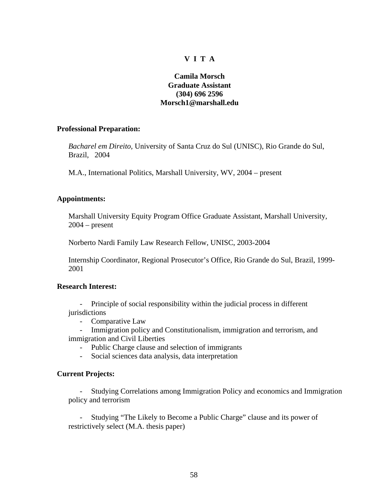### **V I T A**

### **Camila Morsch Graduate Assistant (304) 696 2596 Morsch1@marshall.edu**

#### **Professional Preparation:**

*Bacharel em Direito,* University of Santa Cruz do Sul (UNISC), Rio Grande do Sul, Brazil, 2004

M.A., International Politics, Marshall University, WV, 2004 – present

#### **Appointments:**

Marshall University Equity Program Office Graduate Assistant, Marshall University, 2004 – present

Norberto Nardi Family Law Research Fellow, UNISC, 2003-2004

Internship Coordinator, Regional Prosecutor's Office, Rio Grande do Sul, Brazil, 1999- 2001

#### **Research Interest:**

- Principle of social responsibility within the judicial process in different jurisdictions

- Comparative Law

- Immigration policy and Constitutionalism, immigration and terrorism, and immigration and Civil Liberties

- Public Charge clause and selection of immigrants

- Social sciences data analysis, data interpretation

### **Current Projects:**

- Studying Correlations among Immigration Policy and economics and Immigration policy and terrorism

- Studying "The Likely to Become a Public Charge" clause and its power of restrictively select (M.A. thesis paper)